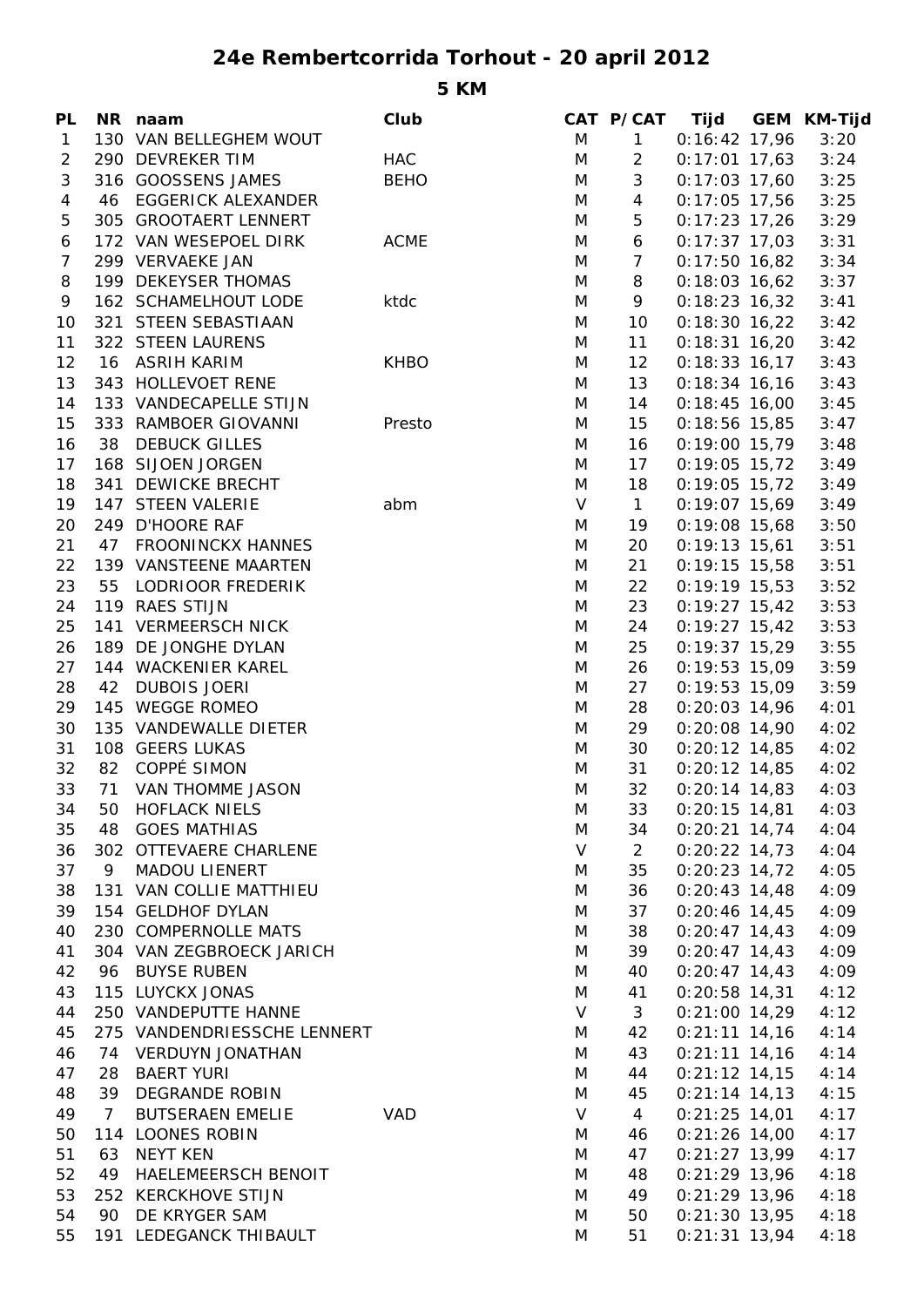## **24e Rembertcorrida Torhout - 20 april 2012**

**5 KM**

| 130 VAN BELLEGHEM WOUT<br>M<br>$\mathbf{1}$<br>$0:16:42$ 17,96<br>3:20<br>$\mathbf{1}$<br>290 DEVREKER TIM<br>M<br>$\overline{2}$<br>$\overline{2}$<br><b>HAC</b><br>$0:17:01$ 17,63<br>3:24<br>$\mathfrak{Z}$<br>3<br><b>BEHO</b><br>316 GOOSSENS JAMES<br>M<br>$0:17:03$ 17,60<br>3:25<br>$\overline{4}$<br>46 EGGERICK ALEXANDER<br>M<br>$0:17:05$ 17,56<br>3:25<br>4<br>5<br>5<br>305 GROOTAERT LENNERT<br>M<br>$0:17:23$ 17,26<br>3:29<br>172 VAN WESEPOEL DIRK<br><b>ACME</b><br>6<br>M<br>$0:17:37$ 17,03<br>3:31<br>6<br>299 VERVAEKE JAN<br>$\overline{7}$<br>$\overline{7}$<br>M<br>$0:17:50$ 16,82<br>3:34<br>199 DEKEYSER THOMAS<br>8<br>3:37<br>8<br>M<br>$0:18:03$ 16,62<br>9<br>9<br>162 SCHAMELHOUT LODE<br>M<br>$0:18:23$ 16,32<br>3:41<br>ktdc<br>10<br>10<br>321 STEEN SEBASTIAAN<br>M<br>$0:18:30$ 16,22<br>3:42<br>11<br>322 STEEN LAURENS<br>11<br>$0:18:31$ 16,20<br>3:42<br>M<br>12<br>16 ASRIH KARIM<br><b>KHBO</b><br>M<br>12 <sup>2</sup><br>$0:18:33$ 16,17<br>3:43<br>13<br>343 HOLLEVOET RENE<br>13<br>M<br>$0:18:34$ 16,16<br>3:43<br>14<br>133 VANDECAPELLE STIJN<br>14<br>$0:18:45$ 16,00<br>3:45<br>M<br>15<br>15<br>333 RAMBOER GIOVANNI<br>Presto<br>M<br>$0:18:56$ 15,85<br>3:47<br>16<br>38 DEBUCK GILLES<br>M<br>16<br>$0:19:00$ 15,79<br>3:48<br>168 SIJOEN JORGEN<br>17<br>17<br>M<br>$0:19:05$ 15,72<br>3:49<br>18<br>341 DEWICKE BRECHT<br>M<br>18<br>$0:19:05$ 15,72<br>3:49<br>$\mathsf{V}$<br>19<br>147 STEEN VALERIE<br>$\mathbf{1}$<br>$0:19:07$ 15,69<br>3:49<br>abm<br>20<br>249 D'HOORE RAF<br>M<br>19<br>$0:19:08$ 15,68<br>3:50<br>21<br>20<br>47 FROONINCKX HANNES<br>M<br>$0:19:13$ 15,61<br>3:51<br>21<br>22<br>139 VANSTEENE MAARTEN<br>$0:19:15$ 15,58<br>3:51<br>M<br>23<br>55<br>22<br>LODRIOOR FREDERIK<br>M<br>$0:19:19$ 15,53<br>3:52<br>23<br>24<br>119 RAES STIJN<br>M<br>$0:19:27$ 15,42<br>3:53<br>25<br>24<br>141 VERMEERSCH NICK<br>M<br>$0:19:27$ 15,42<br>3:53<br>25<br>$0:19:37$ 15,29<br>26<br>189 DE JONGHE DYLAN<br>M<br>3:55<br>27<br>144 WACKENIER KAREL<br>M<br>26<br>$0:19:53$ 15,09<br>3:59<br>28<br>42<br><b>DUBOIS JOERI</b><br>M<br>27<br>$0:19:53$ 15,09<br>3:59<br>145 WEGGE ROMEO<br>29<br>M<br>28<br>$0:20:03$ 14,96<br>4:01<br>29<br>30<br>135 VANDEWALLE DIETER<br>M<br>$0:20:08$ 14,90<br>4:02<br>31<br>108 GEERS LUKAS<br>30<br>M<br>$0:20:12$ 14,85<br>4:02<br>82 COPPÉ SIMON<br>32<br>31<br>$0:20:12$ 14,85<br>4:02<br>M<br>33<br>32<br>71 VAN THOMME JASON<br>M<br>$0:20:14$ 14,83<br>4:03<br><b>HOFLACK NIELS</b><br>M<br>$0:20:15$ 14,81<br>34<br>50<br>33<br>4:03<br><b>GOES MATHIAS</b><br>35<br>M<br>34<br>$0:20:21$ 14,74<br>4:04<br>48<br>$\vee$<br>36<br>302 OTTEVAERE CHARLENE<br>$\overline{2}$<br>$0:20:22$ 14,73<br>4:04<br>35<br>$0:20:23$ 14,72<br>37<br>9<br><b>MADOU LIENERT</b><br>4:05<br>M<br>131 VAN COLLIE MATTHIEU<br>$0:20:43$ 14,48<br>4:09<br>38<br>M<br>36<br>154 GELDHOF DYLAN<br>37<br>$0:20:46$ 14,45<br>39<br>4:09<br>M<br>230 COMPERNOLLE MATS<br>$0:20:47$ 14,43<br>40<br>38<br>4:09<br>M<br>39<br>41<br>304 VAN ZEGBROECK JARICH<br>$0:20:47$ 14,43<br>4:09<br>M<br>96 BUYSE RUBEN<br>$0:20:47$ 14,43<br>42<br>M<br>40<br>4:09<br>115 LUYCKX JONAS<br>$0:20:58$ 14,31<br>43<br>M<br>41<br>4:12<br>250 VANDEPUTTE HANNE<br>V<br>3<br>$0:21:00$ 14,29<br>44<br>4:12<br>$0:21:11$ 14,16<br>45<br>275 VANDENDRIESSCHE LENNERT<br>M<br>42<br>4:14<br>46<br><b>VERDUYN JONATHAN</b><br>M<br>43<br>$0:21:11$ 14,16<br>4:14<br>74<br>47<br><b>BAERT YURI</b><br>44<br>$0:21:12$ 14,15<br>4:14<br>28<br>M<br>48<br>39<br><b>DEGRANDE ROBIN</b><br>45<br>$0:21:14$ 14,13<br>4:15<br>M<br>$\overline{4}$<br>V<br>49<br><b>BUTSERAEN EMELIE</b><br>$0:21:25$ 14,01<br>4:17<br>$\overline{7}$<br><b>VAD</b><br>114 LOONES ROBIN<br>$0:21:26$ 14,00<br>50<br>46<br>4:17<br>M<br>51<br>63<br><b>NEYT KEN</b><br>47<br>$0:21:27$ 13,99<br>4:17<br>M<br>52<br>49<br>HAELEMEERSCH BENOIT<br>48<br>$0:21:29$ 13,96<br>4:18<br>M<br>53<br>49<br>$0:21:29$ 13,96<br>252 KERCKHOVE STIJN<br>M<br>4:18<br>90 DE KRYGER SAM<br>50<br>$0:21:30$ 13,95<br>54<br>M<br>4:18<br>191 LEDEGANCK THIBAULT<br>51<br>$0:21:31$ 13,94<br>55<br>M<br>4:18 | PL | NR naam | Club | CAT P/CAT | Tijd | <b>GEM KM-Tijd</b> |
|------------------------------------------------------------------------------------------------------------------------------------------------------------------------------------------------------------------------------------------------------------------------------------------------------------------------------------------------------------------------------------------------------------------------------------------------------------------------------------------------------------------------------------------------------------------------------------------------------------------------------------------------------------------------------------------------------------------------------------------------------------------------------------------------------------------------------------------------------------------------------------------------------------------------------------------------------------------------------------------------------------------------------------------------------------------------------------------------------------------------------------------------------------------------------------------------------------------------------------------------------------------------------------------------------------------------------------------------------------------------------------------------------------------------------------------------------------------------------------------------------------------------------------------------------------------------------------------------------------------------------------------------------------------------------------------------------------------------------------------------------------------------------------------------------------------------------------------------------------------------------------------------------------------------------------------------------------------------------------------------------------------------------------------------------------------------------------------------------------------------------------------------------------------------------------------------------------------------------------------------------------------------------------------------------------------------------------------------------------------------------------------------------------------------------------------------------------------------------------------------------------------------------------------------------------------------------------------------------------------------------------------------------------------------------------------------------------------------------------------------------------------------------------------------------------------------------------------------------------------------------------------------------------------------------------------------------------------------------------------------------------------------------------------------------------------------------------------------------------------------------------------------------------------------------------------------------------------------------------------------------------------------------------------------------------------------------------------------------------------------------------------------------------------------------------------------------------------------------------------------------------------------------------------------------------------------------------------------------------------------------------------------------------------------------------------------------------------------------------------------------------------------------------------------------------------------------------------------------------------------------------------------------------------------------------------------------------------------------------------------------------------------------------------------------------------------------------------------------------------------------------------------------|----|---------|------|-----------|------|--------------------|
|                                                                                                                                                                                                                                                                                                                                                                                                                                                                                                                                                                                                                                                                                                                                                                                                                                                                                                                                                                                                                                                                                                                                                                                                                                                                                                                                                                                                                                                                                                                                                                                                                                                                                                                                                                                                                                                                                                                                                                                                                                                                                                                                                                                                                                                                                                                                                                                                                                                                                                                                                                                                                                                                                                                                                                                                                                                                                                                                                                                                                                                                                                                                                                                                                                                                                                                                                                                                                                                                                                                                                                                                                                                                                                                                                                                                                                                                                                                                                                                                                                                                                                                                                      |    |         |      |           |      |                    |
|                                                                                                                                                                                                                                                                                                                                                                                                                                                                                                                                                                                                                                                                                                                                                                                                                                                                                                                                                                                                                                                                                                                                                                                                                                                                                                                                                                                                                                                                                                                                                                                                                                                                                                                                                                                                                                                                                                                                                                                                                                                                                                                                                                                                                                                                                                                                                                                                                                                                                                                                                                                                                                                                                                                                                                                                                                                                                                                                                                                                                                                                                                                                                                                                                                                                                                                                                                                                                                                                                                                                                                                                                                                                                                                                                                                                                                                                                                                                                                                                                                                                                                                                                      |    |         |      |           |      |                    |
|                                                                                                                                                                                                                                                                                                                                                                                                                                                                                                                                                                                                                                                                                                                                                                                                                                                                                                                                                                                                                                                                                                                                                                                                                                                                                                                                                                                                                                                                                                                                                                                                                                                                                                                                                                                                                                                                                                                                                                                                                                                                                                                                                                                                                                                                                                                                                                                                                                                                                                                                                                                                                                                                                                                                                                                                                                                                                                                                                                                                                                                                                                                                                                                                                                                                                                                                                                                                                                                                                                                                                                                                                                                                                                                                                                                                                                                                                                                                                                                                                                                                                                                                                      |    |         |      |           |      |                    |
|                                                                                                                                                                                                                                                                                                                                                                                                                                                                                                                                                                                                                                                                                                                                                                                                                                                                                                                                                                                                                                                                                                                                                                                                                                                                                                                                                                                                                                                                                                                                                                                                                                                                                                                                                                                                                                                                                                                                                                                                                                                                                                                                                                                                                                                                                                                                                                                                                                                                                                                                                                                                                                                                                                                                                                                                                                                                                                                                                                                                                                                                                                                                                                                                                                                                                                                                                                                                                                                                                                                                                                                                                                                                                                                                                                                                                                                                                                                                                                                                                                                                                                                                                      |    |         |      |           |      |                    |
|                                                                                                                                                                                                                                                                                                                                                                                                                                                                                                                                                                                                                                                                                                                                                                                                                                                                                                                                                                                                                                                                                                                                                                                                                                                                                                                                                                                                                                                                                                                                                                                                                                                                                                                                                                                                                                                                                                                                                                                                                                                                                                                                                                                                                                                                                                                                                                                                                                                                                                                                                                                                                                                                                                                                                                                                                                                                                                                                                                                                                                                                                                                                                                                                                                                                                                                                                                                                                                                                                                                                                                                                                                                                                                                                                                                                                                                                                                                                                                                                                                                                                                                                                      |    |         |      |           |      |                    |
|                                                                                                                                                                                                                                                                                                                                                                                                                                                                                                                                                                                                                                                                                                                                                                                                                                                                                                                                                                                                                                                                                                                                                                                                                                                                                                                                                                                                                                                                                                                                                                                                                                                                                                                                                                                                                                                                                                                                                                                                                                                                                                                                                                                                                                                                                                                                                                                                                                                                                                                                                                                                                                                                                                                                                                                                                                                                                                                                                                                                                                                                                                                                                                                                                                                                                                                                                                                                                                                                                                                                                                                                                                                                                                                                                                                                                                                                                                                                                                                                                                                                                                                                                      |    |         |      |           |      |                    |
|                                                                                                                                                                                                                                                                                                                                                                                                                                                                                                                                                                                                                                                                                                                                                                                                                                                                                                                                                                                                                                                                                                                                                                                                                                                                                                                                                                                                                                                                                                                                                                                                                                                                                                                                                                                                                                                                                                                                                                                                                                                                                                                                                                                                                                                                                                                                                                                                                                                                                                                                                                                                                                                                                                                                                                                                                                                                                                                                                                                                                                                                                                                                                                                                                                                                                                                                                                                                                                                                                                                                                                                                                                                                                                                                                                                                                                                                                                                                                                                                                                                                                                                                                      |    |         |      |           |      |                    |
|                                                                                                                                                                                                                                                                                                                                                                                                                                                                                                                                                                                                                                                                                                                                                                                                                                                                                                                                                                                                                                                                                                                                                                                                                                                                                                                                                                                                                                                                                                                                                                                                                                                                                                                                                                                                                                                                                                                                                                                                                                                                                                                                                                                                                                                                                                                                                                                                                                                                                                                                                                                                                                                                                                                                                                                                                                                                                                                                                                                                                                                                                                                                                                                                                                                                                                                                                                                                                                                                                                                                                                                                                                                                                                                                                                                                                                                                                                                                                                                                                                                                                                                                                      |    |         |      |           |      |                    |
|                                                                                                                                                                                                                                                                                                                                                                                                                                                                                                                                                                                                                                                                                                                                                                                                                                                                                                                                                                                                                                                                                                                                                                                                                                                                                                                                                                                                                                                                                                                                                                                                                                                                                                                                                                                                                                                                                                                                                                                                                                                                                                                                                                                                                                                                                                                                                                                                                                                                                                                                                                                                                                                                                                                                                                                                                                                                                                                                                                                                                                                                                                                                                                                                                                                                                                                                                                                                                                                                                                                                                                                                                                                                                                                                                                                                                                                                                                                                                                                                                                                                                                                                                      |    |         |      |           |      |                    |
|                                                                                                                                                                                                                                                                                                                                                                                                                                                                                                                                                                                                                                                                                                                                                                                                                                                                                                                                                                                                                                                                                                                                                                                                                                                                                                                                                                                                                                                                                                                                                                                                                                                                                                                                                                                                                                                                                                                                                                                                                                                                                                                                                                                                                                                                                                                                                                                                                                                                                                                                                                                                                                                                                                                                                                                                                                                                                                                                                                                                                                                                                                                                                                                                                                                                                                                                                                                                                                                                                                                                                                                                                                                                                                                                                                                                                                                                                                                                                                                                                                                                                                                                                      |    |         |      |           |      |                    |
|                                                                                                                                                                                                                                                                                                                                                                                                                                                                                                                                                                                                                                                                                                                                                                                                                                                                                                                                                                                                                                                                                                                                                                                                                                                                                                                                                                                                                                                                                                                                                                                                                                                                                                                                                                                                                                                                                                                                                                                                                                                                                                                                                                                                                                                                                                                                                                                                                                                                                                                                                                                                                                                                                                                                                                                                                                                                                                                                                                                                                                                                                                                                                                                                                                                                                                                                                                                                                                                                                                                                                                                                                                                                                                                                                                                                                                                                                                                                                                                                                                                                                                                                                      |    |         |      |           |      |                    |
|                                                                                                                                                                                                                                                                                                                                                                                                                                                                                                                                                                                                                                                                                                                                                                                                                                                                                                                                                                                                                                                                                                                                                                                                                                                                                                                                                                                                                                                                                                                                                                                                                                                                                                                                                                                                                                                                                                                                                                                                                                                                                                                                                                                                                                                                                                                                                                                                                                                                                                                                                                                                                                                                                                                                                                                                                                                                                                                                                                                                                                                                                                                                                                                                                                                                                                                                                                                                                                                                                                                                                                                                                                                                                                                                                                                                                                                                                                                                                                                                                                                                                                                                                      |    |         |      |           |      |                    |
|                                                                                                                                                                                                                                                                                                                                                                                                                                                                                                                                                                                                                                                                                                                                                                                                                                                                                                                                                                                                                                                                                                                                                                                                                                                                                                                                                                                                                                                                                                                                                                                                                                                                                                                                                                                                                                                                                                                                                                                                                                                                                                                                                                                                                                                                                                                                                                                                                                                                                                                                                                                                                                                                                                                                                                                                                                                                                                                                                                                                                                                                                                                                                                                                                                                                                                                                                                                                                                                                                                                                                                                                                                                                                                                                                                                                                                                                                                                                                                                                                                                                                                                                                      |    |         |      |           |      |                    |
|                                                                                                                                                                                                                                                                                                                                                                                                                                                                                                                                                                                                                                                                                                                                                                                                                                                                                                                                                                                                                                                                                                                                                                                                                                                                                                                                                                                                                                                                                                                                                                                                                                                                                                                                                                                                                                                                                                                                                                                                                                                                                                                                                                                                                                                                                                                                                                                                                                                                                                                                                                                                                                                                                                                                                                                                                                                                                                                                                                                                                                                                                                                                                                                                                                                                                                                                                                                                                                                                                                                                                                                                                                                                                                                                                                                                                                                                                                                                                                                                                                                                                                                                                      |    |         |      |           |      |                    |
|                                                                                                                                                                                                                                                                                                                                                                                                                                                                                                                                                                                                                                                                                                                                                                                                                                                                                                                                                                                                                                                                                                                                                                                                                                                                                                                                                                                                                                                                                                                                                                                                                                                                                                                                                                                                                                                                                                                                                                                                                                                                                                                                                                                                                                                                                                                                                                                                                                                                                                                                                                                                                                                                                                                                                                                                                                                                                                                                                                                                                                                                                                                                                                                                                                                                                                                                                                                                                                                                                                                                                                                                                                                                                                                                                                                                                                                                                                                                                                                                                                                                                                                                                      |    |         |      |           |      |                    |
|                                                                                                                                                                                                                                                                                                                                                                                                                                                                                                                                                                                                                                                                                                                                                                                                                                                                                                                                                                                                                                                                                                                                                                                                                                                                                                                                                                                                                                                                                                                                                                                                                                                                                                                                                                                                                                                                                                                                                                                                                                                                                                                                                                                                                                                                                                                                                                                                                                                                                                                                                                                                                                                                                                                                                                                                                                                                                                                                                                                                                                                                                                                                                                                                                                                                                                                                                                                                                                                                                                                                                                                                                                                                                                                                                                                                                                                                                                                                                                                                                                                                                                                                                      |    |         |      |           |      |                    |
|                                                                                                                                                                                                                                                                                                                                                                                                                                                                                                                                                                                                                                                                                                                                                                                                                                                                                                                                                                                                                                                                                                                                                                                                                                                                                                                                                                                                                                                                                                                                                                                                                                                                                                                                                                                                                                                                                                                                                                                                                                                                                                                                                                                                                                                                                                                                                                                                                                                                                                                                                                                                                                                                                                                                                                                                                                                                                                                                                                                                                                                                                                                                                                                                                                                                                                                                                                                                                                                                                                                                                                                                                                                                                                                                                                                                                                                                                                                                                                                                                                                                                                                                                      |    |         |      |           |      |                    |
|                                                                                                                                                                                                                                                                                                                                                                                                                                                                                                                                                                                                                                                                                                                                                                                                                                                                                                                                                                                                                                                                                                                                                                                                                                                                                                                                                                                                                                                                                                                                                                                                                                                                                                                                                                                                                                                                                                                                                                                                                                                                                                                                                                                                                                                                                                                                                                                                                                                                                                                                                                                                                                                                                                                                                                                                                                                                                                                                                                                                                                                                                                                                                                                                                                                                                                                                                                                                                                                                                                                                                                                                                                                                                                                                                                                                                                                                                                                                                                                                                                                                                                                                                      |    |         |      |           |      |                    |
|                                                                                                                                                                                                                                                                                                                                                                                                                                                                                                                                                                                                                                                                                                                                                                                                                                                                                                                                                                                                                                                                                                                                                                                                                                                                                                                                                                                                                                                                                                                                                                                                                                                                                                                                                                                                                                                                                                                                                                                                                                                                                                                                                                                                                                                                                                                                                                                                                                                                                                                                                                                                                                                                                                                                                                                                                                                                                                                                                                                                                                                                                                                                                                                                                                                                                                                                                                                                                                                                                                                                                                                                                                                                                                                                                                                                                                                                                                                                                                                                                                                                                                                                                      |    |         |      |           |      |                    |
|                                                                                                                                                                                                                                                                                                                                                                                                                                                                                                                                                                                                                                                                                                                                                                                                                                                                                                                                                                                                                                                                                                                                                                                                                                                                                                                                                                                                                                                                                                                                                                                                                                                                                                                                                                                                                                                                                                                                                                                                                                                                                                                                                                                                                                                                                                                                                                                                                                                                                                                                                                                                                                                                                                                                                                                                                                                                                                                                                                                                                                                                                                                                                                                                                                                                                                                                                                                                                                                                                                                                                                                                                                                                                                                                                                                                                                                                                                                                                                                                                                                                                                                                                      |    |         |      |           |      |                    |
|                                                                                                                                                                                                                                                                                                                                                                                                                                                                                                                                                                                                                                                                                                                                                                                                                                                                                                                                                                                                                                                                                                                                                                                                                                                                                                                                                                                                                                                                                                                                                                                                                                                                                                                                                                                                                                                                                                                                                                                                                                                                                                                                                                                                                                                                                                                                                                                                                                                                                                                                                                                                                                                                                                                                                                                                                                                                                                                                                                                                                                                                                                                                                                                                                                                                                                                                                                                                                                                                                                                                                                                                                                                                                                                                                                                                                                                                                                                                                                                                                                                                                                                                                      |    |         |      |           |      |                    |
|                                                                                                                                                                                                                                                                                                                                                                                                                                                                                                                                                                                                                                                                                                                                                                                                                                                                                                                                                                                                                                                                                                                                                                                                                                                                                                                                                                                                                                                                                                                                                                                                                                                                                                                                                                                                                                                                                                                                                                                                                                                                                                                                                                                                                                                                                                                                                                                                                                                                                                                                                                                                                                                                                                                                                                                                                                                                                                                                                                                                                                                                                                                                                                                                                                                                                                                                                                                                                                                                                                                                                                                                                                                                                                                                                                                                                                                                                                                                                                                                                                                                                                                                                      |    |         |      |           |      |                    |
|                                                                                                                                                                                                                                                                                                                                                                                                                                                                                                                                                                                                                                                                                                                                                                                                                                                                                                                                                                                                                                                                                                                                                                                                                                                                                                                                                                                                                                                                                                                                                                                                                                                                                                                                                                                                                                                                                                                                                                                                                                                                                                                                                                                                                                                                                                                                                                                                                                                                                                                                                                                                                                                                                                                                                                                                                                                                                                                                                                                                                                                                                                                                                                                                                                                                                                                                                                                                                                                                                                                                                                                                                                                                                                                                                                                                                                                                                                                                                                                                                                                                                                                                                      |    |         |      |           |      |                    |
|                                                                                                                                                                                                                                                                                                                                                                                                                                                                                                                                                                                                                                                                                                                                                                                                                                                                                                                                                                                                                                                                                                                                                                                                                                                                                                                                                                                                                                                                                                                                                                                                                                                                                                                                                                                                                                                                                                                                                                                                                                                                                                                                                                                                                                                                                                                                                                                                                                                                                                                                                                                                                                                                                                                                                                                                                                                                                                                                                                                                                                                                                                                                                                                                                                                                                                                                                                                                                                                                                                                                                                                                                                                                                                                                                                                                                                                                                                                                                                                                                                                                                                                                                      |    |         |      |           |      |                    |
|                                                                                                                                                                                                                                                                                                                                                                                                                                                                                                                                                                                                                                                                                                                                                                                                                                                                                                                                                                                                                                                                                                                                                                                                                                                                                                                                                                                                                                                                                                                                                                                                                                                                                                                                                                                                                                                                                                                                                                                                                                                                                                                                                                                                                                                                                                                                                                                                                                                                                                                                                                                                                                                                                                                                                                                                                                                                                                                                                                                                                                                                                                                                                                                                                                                                                                                                                                                                                                                                                                                                                                                                                                                                                                                                                                                                                                                                                                                                                                                                                                                                                                                                                      |    |         |      |           |      |                    |
|                                                                                                                                                                                                                                                                                                                                                                                                                                                                                                                                                                                                                                                                                                                                                                                                                                                                                                                                                                                                                                                                                                                                                                                                                                                                                                                                                                                                                                                                                                                                                                                                                                                                                                                                                                                                                                                                                                                                                                                                                                                                                                                                                                                                                                                                                                                                                                                                                                                                                                                                                                                                                                                                                                                                                                                                                                                                                                                                                                                                                                                                                                                                                                                                                                                                                                                                                                                                                                                                                                                                                                                                                                                                                                                                                                                                                                                                                                                                                                                                                                                                                                                                                      |    |         |      |           |      |                    |
|                                                                                                                                                                                                                                                                                                                                                                                                                                                                                                                                                                                                                                                                                                                                                                                                                                                                                                                                                                                                                                                                                                                                                                                                                                                                                                                                                                                                                                                                                                                                                                                                                                                                                                                                                                                                                                                                                                                                                                                                                                                                                                                                                                                                                                                                                                                                                                                                                                                                                                                                                                                                                                                                                                                                                                                                                                                                                                                                                                                                                                                                                                                                                                                                                                                                                                                                                                                                                                                                                                                                                                                                                                                                                                                                                                                                                                                                                                                                                                                                                                                                                                                                                      |    |         |      |           |      |                    |
|                                                                                                                                                                                                                                                                                                                                                                                                                                                                                                                                                                                                                                                                                                                                                                                                                                                                                                                                                                                                                                                                                                                                                                                                                                                                                                                                                                                                                                                                                                                                                                                                                                                                                                                                                                                                                                                                                                                                                                                                                                                                                                                                                                                                                                                                                                                                                                                                                                                                                                                                                                                                                                                                                                                                                                                                                                                                                                                                                                                                                                                                                                                                                                                                                                                                                                                                                                                                                                                                                                                                                                                                                                                                                                                                                                                                                                                                                                                                                                                                                                                                                                                                                      |    |         |      |           |      |                    |
|                                                                                                                                                                                                                                                                                                                                                                                                                                                                                                                                                                                                                                                                                                                                                                                                                                                                                                                                                                                                                                                                                                                                                                                                                                                                                                                                                                                                                                                                                                                                                                                                                                                                                                                                                                                                                                                                                                                                                                                                                                                                                                                                                                                                                                                                                                                                                                                                                                                                                                                                                                                                                                                                                                                                                                                                                                                                                                                                                                                                                                                                                                                                                                                                                                                                                                                                                                                                                                                                                                                                                                                                                                                                                                                                                                                                                                                                                                                                                                                                                                                                                                                                                      |    |         |      |           |      |                    |
|                                                                                                                                                                                                                                                                                                                                                                                                                                                                                                                                                                                                                                                                                                                                                                                                                                                                                                                                                                                                                                                                                                                                                                                                                                                                                                                                                                                                                                                                                                                                                                                                                                                                                                                                                                                                                                                                                                                                                                                                                                                                                                                                                                                                                                                                                                                                                                                                                                                                                                                                                                                                                                                                                                                                                                                                                                                                                                                                                                                                                                                                                                                                                                                                                                                                                                                                                                                                                                                                                                                                                                                                                                                                                                                                                                                                                                                                                                                                                                                                                                                                                                                                                      |    |         |      |           |      |                    |
|                                                                                                                                                                                                                                                                                                                                                                                                                                                                                                                                                                                                                                                                                                                                                                                                                                                                                                                                                                                                                                                                                                                                                                                                                                                                                                                                                                                                                                                                                                                                                                                                                                                                                                                                                                                                                                                                                                                                                                                                                                                                                                                                                                                                                                                                                                                                                                                                                                                                                                                                                                                                                                                                                                                                                                                                                                                                                                                                                                                                                                                                                                                                                                                                                                                                                                                                                                                                                                                                                                                                                                                                                                                                                                                                                                                                                                                                                                                                                                                                                                                                                                                                                      |    |         |      |           |      |                    |
|                                                                                                                                                                                                                                                                                                                                                                                                                                                                                                                                                                                                                                                                                                                                                                                                                                                                                                                                                                                                                                                                                                                                                                                                                                                                                                                                                                                                                                                                                                                                                                                                                                                                                                                                                                                                                                                                                                                                                                                                                                                                                                                                                                                                                                                                                                                                                                                                                                                                                                                                                                                                                                                                                                                                                                                                                                                                                                                                                                                                                                                                                                                                                                                                                                                                                                                                                                                                                                                                                                                                                                                                                                                                                                                                                                                                                                                                                                                                                                                                                                                                                                                                                      |    |         |      |           |      |                    |
|                                                                                                                                                                                                                                                                                                                                                                                                                                                                                                                                                                                                                                                                                                                                                                                                                                                                                                                                                                                                                                                                                                                                                                                                                                                                                                                                                                                                                                                                                                                                                                                                                                                                                                                                                                                                                                                                                                                                                                                                                                                                                                                                                                                                                                                                                                                                                                                                                                                                                                                                                                                                                                                                                                                                                                                                                                                                                                                                                                                                                                                                                                                                                                                                                                                                                                                                                                                                                                                                                                                                                                                                                                                                                                                                                                                                                                                                                                                                                                                                                                                                                                                                                      |    |         |      |           |      |                    |
|                                                                                                                                                                                                                                                                                                                                                                                                                                                                                                                                                                                                                                                                                                                                                                                                                                                                                                                                                                                                                                                                                                                                                                                                                                                                                                                                                                                                                                                                                                                                                                                                                                                                                                                                                                                                                                                                                                                                                                                                                                                                                                                                                                                                                                                                                                                                                                                                                                                                                                                                                                                                                                                                                                                                                                                                                                                                                                                                                                                                                                                                                                                                                                                                                                                                                                                                                                                                                                                                                                                                                                                                                                                                                                                                                                                                                                                                                                                                                                                                                                                                                                                                                      |    |         |      |           |      |                    |
|                                                                                                                                                                                                                                                                                                                                                                                                                                                                                                                                                                                                                                                                                                                                                                                                                                                                                                                                                                                                                                                                                                                                                                                                                                                                                                                                                                                                                                                                                                                                                                                                                                                                                                                                                                                                                                                                                                                                                                                                                                                                                                                                                                                                                                                                                                                                                                                                                                                                                                                                                                                                                                                                                                                                                                                                                                                                                                                                                                                                                                                                                                                                                                                                                                                                                                                                                                                                                                                                                                                                                                                                                                                                                                                                                                                                                                                                                                                                                                                                                                                                                                                                                      |    |         |      |           |      |                    |
|                                                                                                                                                                                                                                                                                                                                                                                                                                                                                                                                                                                                                                                                                                                                                                                                                                                                                                                                                                                                                                                                                                                                                                                                                                                                                                                                                                                                                                                                                                                                                                                                                                                                                                                                                                                                                                                                                                                                                                                                                                                                                                                                                                                                                                                                                                                                                                                                                                                                                                                                                                                                                                                                                                                                                                                                                                                                                                                                                                                                                                                                                                                                                                                                                                                                                                                                                                                                                                                                                                                                                                                                                                                                                                                                                                                                                                                                                                                                                                                                                                                                                                                                                      |    |         |      |           |      |                    |
|                                                                                                                                                                                                                                                                                                                                                                                                                                                                                                                                                                                                                                                                                                                                                                                                                                                                                                                                                                                                                                                                                                                                                                                                                                                                                                                                                                                                                                                                                                                                                                                                                                                                                                                                                                                                                                                                                                                                                                                                                                                                                                                                                                                                                                                                                                                                                                                                                                                                                                                                                                                                                                                                                                                                                                                                                                                                                                                                                                                                                                                                                                                                                                                                                                                                                                                                                                                                                                                                                                                                                                                                                                                                                                                                                                                                                                                                                                                                                                                                                                                                                                                                                      |    |         |      |           |      |                    |
|                                                                                                                                                                                                                                                                                                                                                                                                                                                                                                                                                                                                                                                                                                                                                                                                                                                                                                                                                                                                                                                                                                                                                                                                                                                                                                                                                                                                                                                                                                                                                                                                                                                                                                                                                                                                                                                                                                                                                                                                                                                                                                                                                                                                                                                                                                                                                                                                                                                                                                                                                                                                                                                                                                                                                                                                                                                                                                                                                                                                                                                                                                                                                                                                                                                                                                                                                                                                                                                                                                                                                                                                                                                                                                                                                                                                                                                                                                                                                                                                                                                                                                                                                      |    |         |      |           |      |                    |
|                                                                                                                                                                                                                                                                                                                                                                                                                                                                                                                                                                                                                                                                                                                                                                                                                                                                                                                                                                                                                                                                                                                                                                                                                                                                                                                                                                                                                                                                                                                                                                                                                                                                                                                                                                                                                                                                                                                                                                                                                                                                                                                                                                                                                                                                                                                                                                                                                                                                                                                                                                                                                                                                                                                                                                                                                                                                                                                                                                                                                                                                                                                                                                                                                                                                                                                                                                                                                                                                                                                                                                                                                                                                                                                                                                                                                                                                                                                                                                                                                                                                                                                                                      |    |         |      |           |      |                    |
|                                                                                                                                                                                                                                                                                                                                                                                                                                                                                                                                                                                                                                                                                                                                                                                                                                                                                                                                                                                                                                                                                                                                                                                                                                                                                                                                                                                                                                                                                                                                                                                                                                                                                                                                                                                                                                                                                                                                                                                                                                                                                                                                                                                                                                                                                                                                                                                                                                                                                                                                                                                                                                                                                                                                                                                                                                                                                                                                                                                                                                                                                                                                                                                                                                                                                                                                                                                                                                                                                                                                                                                                                                                                                                                                                                                                                                                                                                                                                                                                                                                                                                                                                      |    |         |      |           |      |                    |
|                                                                                                                                                                                                                                                                                                                                                                                                                                                                                                                                                                                                                                                                                                                                                                                                                                                                                                                                                                                                                                                                                                                                                                                                                                                                                                                                                                                                                                                                                                                                                                                                                                                                                                                                                                                                                                                                                                                                                                                                                                                                                                                                                                                                                                                                                                                                                                                                                                                                                                                                                                                                                                                                                                                                                                                                                                                                                                                                                                                                                                                                                                                                                                                                                                                                                                                                                                                                                                                                                                                                                                                                                                                                                                                                                                                                                                                                                                                                                                                                                                                                                                                                                      |    |         |      |           |      |                    |
|                                                                                                                                                                                                                                                                                                                                                                                                                                                                                                                                                                                                                                                                                                                                                                                                                                                                                                                                                                                                                                                                                                                                                                                                                                                                                                                                                                                                                                                                                                                                                                                                                                                                                                                                                                                                                                                                                                                                                                                                                                                                                                                                                                                                                                                                                                                                                                                                                                                                                                                                                                                                                                                                                                                                                                                                                                                                                                                                                                                                                                                                                                                                                                                                                                                                                                                                                                                                                                                                                                                                                                                                                                                                                                                                                                                                                                                                                                                                                                                                                                                                                                                                                      |    |         |      |           |      |                    |
|                                                                                                                                                                                                                                                                                                                                                                                                                                                                                                                                                                                                                                                                                                                                                                                                                                                                                                                                                                                                                                                                                                                                                                                                                                                                                                                                                                                                                                                                                                                                                                                                                                                                                                                                                                                                                                                                                                                                                                                                                                                                                                                                                                                                                                                                                                                                                                                                                                                                                                                                                                                                                                                                                                                                                                                                                                                                                                                                                                                                                                                                                                                                                                                                                                                                                                                                                                                                                                                                                                                                                                                                                                                                                                                                                                                                                                                                                                                                                                                                                                                                                                                                                      |    |         |      |           |      |                    |
|                                                                                                                                                                                                                                                                                                                                                                                                                                                                                                                                                                                                                                                                                                                                                                                                                                                                                                                                                                                                                                                                                                                                                                                                                                                                                                                                                                                                                                                                                                                                                                                                                                                                                                                                                                                                                                                                                                                                                                                                                                                                                                                                                                                                                                                                                                                                                                                                                                                                                                                                                                                                                                                                                                                                                                                                                                                                                                                                                                                                                                                                                                                                                                                                                                                                                                                                                                                                                                                                                                                                                                                                                                                                                                                                                                                                                                                                                                                                                                                                                                                                                                                                                      |    |         |      |           |      |                    |
|                                                                                                                                                                                                                                                                                                                                                                                                                                                                                                                                                                                                                                                                                                                                                                                                                                                                                                                                                                                                                                                                                                                                                                                                                                                                                                                                                                                                                                                                                                                                                                                                                                                                                                                                                                                                                                                                                                                                                                                                                                                                                                                                                                                                                                                                                                                                                                                                                                                                                                                                                                                                                                                                                                                                                                                                                                                                                                                                                                                                                                                                                                                                                                                                                                                                                                                                                                                                                                                                                                                                                                                                                                                                                                                                                                                                                                                                                                                                                                                                                                                                                                                                                      |    |         |      |           |      |                    |
|                                                                                                                                                                                                                                                                                                                                                                                                                                                                                                                                                                                                                                                                                                                                                                                                                                                                                                                                                                                                                                                                                                                                                                                                                                                                                                                                                                                                                                                                                                                                                                                                                                                                                                                                                                                                                                                                                                                                                                                                                                                                                                                                                                                                                                                                                                                                                                                                                                                                                                                                                                                                                                                                                                                                                                                                                                                                                                                                                                                                                                                                                                                                                                                                                                                                                                                                                                                                                                                                                                                                                                                                                                                                                                                                                                                                                                                                                                                                                                                                                                                                                                                                                      |    |         |      |           |      |                    |
|                                                                                                                                                                                                                                                                                                                                                                                                                                                                                                                                                                                                                                                                                                                                                                                                                                                                                                                                                                                                                                                                                                                                                                                                                                                                                                                                                                                                                                                                                                                                                                                                                                                                                                                                                                                                                                                                                                                                                                                                                                                                                                                                                                                                                                                                                                                                                                                                                                                                                                                                                                                                                                                                                                                                                                                                                                                                                                                                                                                                                                                                                                                                                                                                                                                                                                                                                                                                                                                                                                                                                                                                                                                                                                                                                                                                                                                                                                                                                                                                                                                                                                                                                      |    |         |      |           |      |                    |
|                                                                                                                                                                                                                                                                                                                                                                                                                                                                                                                                                                                                                                                                                                                                                                                                                                                                                                                                                                                                                                                                                                                                                                                                                                                                                                                                                                                                                                                                                                                                                                                                                                                                                                                                                                                                                                                                                                                                                                                                                                                                                                                                                                                                                                                                                                                                                                                                                                                                                                                                                                                                                                                                                                                                                                                                                                                                                                                                                                                                                                                                                                                                                                                                                                                                                                                                                                                                                                                                                                                                                                                                                                                                                                                                                                                                                                                                                                                                                                                                                                                                                                                                                      |    |         |      |           |      |                    |
|                                                                                                                                                                                                                                                                                                                                                                                                                                                                                                                                                                                                                                                                                                                                                                                                                                                                                                                                                                                                                                                                                                                                                                                                                                                                                                                                                                                                                                                                                                                                                                                                                                                                                                                                                                                                                                                                                                                                                                                                                                                                                                                                                                                                                                                                                                                                                                                                                                                                                                                                                                                                                                                                                                                                                                                                                                                                                                                                                                                                                                                                                                                                                                                                                                                                                                                                                                                                                                                                                                                                                                                                                                                                                                                                                                                                                                                                                                                                                                                                                                                                                                                                                      |    |         |      |           |      |                    |
|                                                                                                                                                                                                                                                                                                                                                                                                                                                                                                                                                                                                                                                                                                                                                                                                                                                                                                                                                                                                                                                                                                                                                                                                                                                                                                                                                                                                                                                                                                                                                                                                                                                                                                                                                                                                                                                                                                                                                                                                                                                                                                                                                                                                                                                                                                                                                                                                                                                                                                                                                                                                                                                                                                                                                                                                                                                                                                                                                                                                                                                                                                                                                                                                                                                                                                                                                                                                                                                                                                                                                                                                                                                                                                                                                                                                                                                                                                                                                                                                                                                                                                                                                      |    |         |      |           |      |                    |
|                                                                                                                                                                                                                                                                                                                                                                                                                                                                                                                                                                                                                                                                                                                                                                                                                                                                                                                                                                                                                                                                                                                                                                                                                                                                                                                                                                                                                                                                                                                                                                                                                                                                                                                                                                                                                                                                                                                                                                                                                                                                                                                                                                                                                                                                                                                                                                                                                                                                                                                                                                                                                                                                                                                                                                                                                                                                                                                                                                                                                                                                                                                                                                                                                                                                                                                                                                                                                                                                                                                                                                                                                                                                                                                                                                                                                                                                                                                                                                                                                                                                                                                                                      |    |         |      |           |      |                    |
|                                                                                                                                                                                                                                                                                                                                                                                                                                                                                                                                                                                                                                                                                                                                                                                                                                                                                                                                                                                                                                                                                                                                                                                                                                                                                                                                                                                                                                                                                                                                                                                                                                                                                                                                                                                                                                                                                                                                                                                                                                                                                                                                                                                                                                                                                                                                                                                                                                                                                                                                                                                                                                                                                                                                                                                                                                                                                                                                                                                                                                                                                                                                                                                                                                                                                                                                                                                                                                                                                                                                                                                                                                                                                                                                                                                                                                                                                                                                                                                                                                                                                                                                                      |    |         |      |           |      |                    |
|                                                                                                                                                                                                                                                                                                                                                                                                                                                                                                                                                                                                                                                                                                                                                                                                                                                                                                                                                                                                                                                                                                                                                                                                                                                                                                                                                                                                                                                                                                                                                                                                                                                                                                                                                                                                                                                                                                                                                                                                                                                                                                                                                                                                                                                                                                                                                                                                                                                                                                                                                                                                                                                                                                                                                                                                                                                                                                                                                                                                                                                                                                                                                                                                                                                                                                                                                                                                                                                                                                                                                                                                                                                                                                                                                                                                                                                                                                                                                                                                                                                                                                                                                      |    |         |      |           |      |                    |
|                                                                                                                                                                                                                                                                                                                                                                                                                                                                                                                                                                                                                                                                                                                                                                                                                                                                                                                                                                                                                                                                                                                                                                                                                                                                                                                                                                                                                                                                                                                                                                                                                                                                                                                                                                                                                                                                                                                                                                                                                                                                                                                                                                                                                                                                                                                                                                                                                                                                                                                                                                                                                                                                                                                                                                                                                                                                                                                                                                                                                                                                                                                                                                                                                                                                                                                                                                                                                                                                                                                                                                                                                                                                                                                                                                                                                                                                                                                                                                                                                                                                                                                                                      |    |         |      |           |      |                    |
|                                                                                                                                                                                                                                                                                                                                                                                                                                                                                                                                                                                                                                                                                                                                                                                                                                                                                                                                                                                                                                                                                                                                                                                                                                                                                                                                                                                                                                                                                                                                                                                                                                                                                                                                                                                                                                                                                                                                                                                                                                                                                                                                                                                                                                                                                                                                                                                                                                                                                                                                                                                                                                                                                                                                                                                                                                                                                                                                                                                                                                                                                                                                                                                                                                                                                                                                                                                                                                                                                                                                                                                                                                                                                                                                                                                                                                                                                                                                                                                                                                                                                                                                                      |    |         |      |           |      |                    |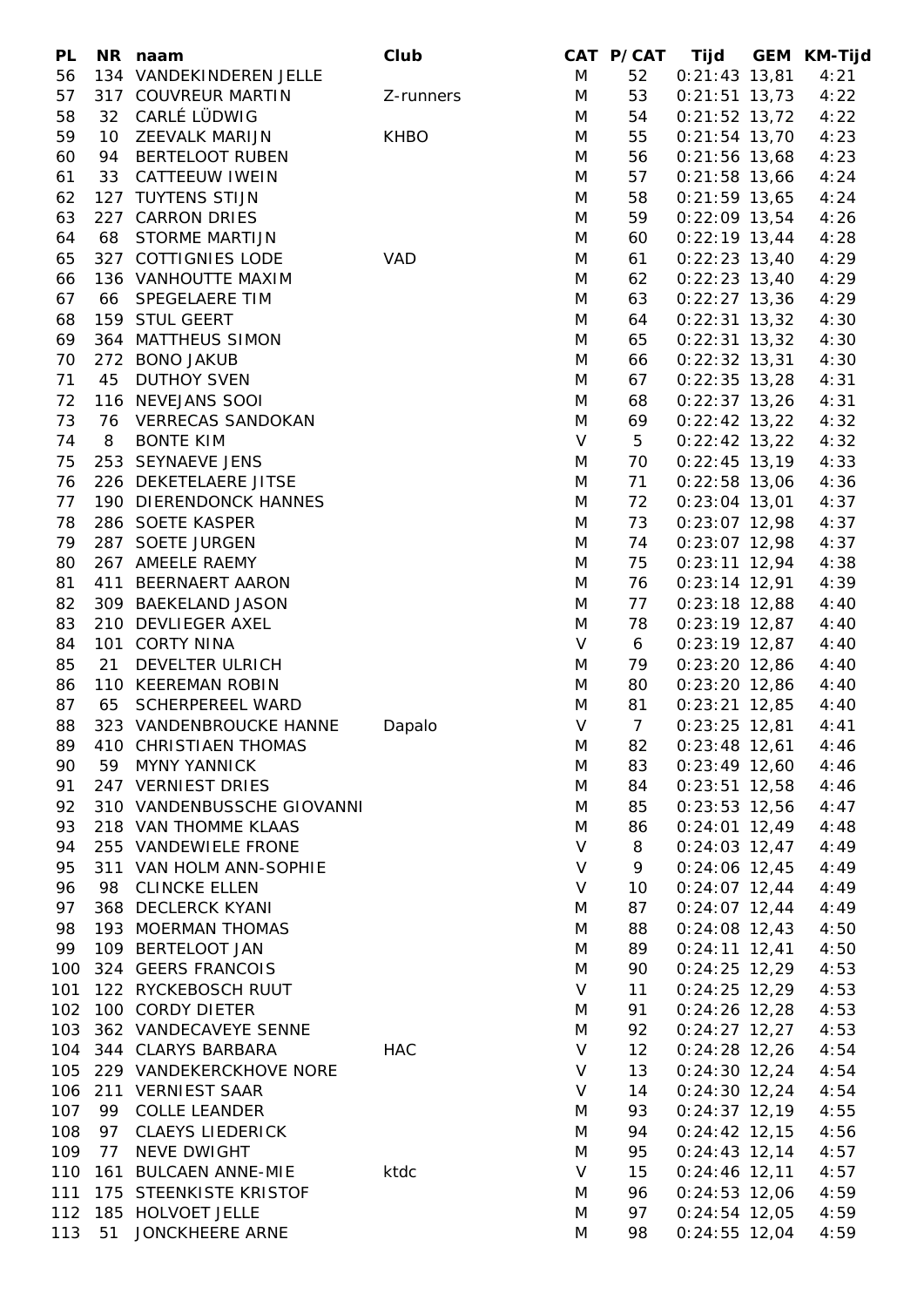| PL  |    | NR naam                    | Club        |              | CAT P/CAT      | Tijd            | GEM KM-Tijd |
|-----|----|----------------------------|-------------|--------------|----------------|-----------------|-------------|
| 56  |    | 134 VANDEKINDEREN JELLE    |             | M            | 52             | $0:21:43$ 13,81 | 4:21        |
| 57  |    | 317 COUVREUR MARTIN        | Z-runners   | M            | 53             | $0:21:51$ 13,73 | 4:22        |
| 58  | 32 | CARLÉ LÜDWIG               |             | M            | 54             | $0:21:52$ 13,72 | 4:22        |
| 59  | 10 | ZEEVALK MARIJN             | <b>KHBO</b> | M            | 55             | $0:21:54$ 13,70 | 4:23        |
| 60  |    | 94 BERTELOOT RUBEN         |             | M            | 56             | $0:21:56$ 13,68 | 4:23        |
| 61  |    | 33 CATTEEUW IWEIN          |             | M            | 57             | $0:21:58$ 13,66 | 4:24        |
| 62  |    | 127 TUYTENS STIJN          |             | M            | 58             | $0:21:59$ 13,65 | 4:24        |
| 63  |    | 227 CARRON DRIES           |             | M            | 59             | $0:22:09$ 13,54 | 4:26        |
| 64  | 68 | <b>STORME MARTIJN</b>      |             | M            | 60             | $0:22:19$ 13,44 | 4:28        |
| 65  |    | 327 COTTIGNIES LODE        | VAD         | M            | 61             | $0:22:23$ 13,40 | 4:29        |
|     |    |                            |             |              |                |                 |             |
| 66  |    | 136 VANHOUTTE MAXIM        |             | M            | 62             | $0:22:23$ 13,40 | 4:29        |
| 67  |    | 66 SPEGELAERE TIM          |             | M            | 63             | $0:22:27$ 13,36 | 4:29        |
| 68  |    | 159 STUL GEERT             |             | M            | 64             | $0:22:31$ 13,32 | 4:30        |
| 69  |    | 364 MATTHEUS SIMON         |             | M            | 65             | $0:22:31$ 13,32 | 4:30        |
| 70  |    | 272 BONO JAKUB             |             | M            | 66             | $0:22:32$ 13,31 | 4:30        |
| 71  |    | 45 DUTHOY SVEN             |             | M            | 67             | $0:22:35$ 13,28 | 4:31        |
| 72  |    | 116 NEVEJANS SOOI          |             | M            | 68             | $0:22:37$ 13,26 | 4:31        |
| 73  |    | 76 VERRECAS SANDOKAN       |             | M            | 69             | $0:22:42$ 13,22 | 4:32        |
| 74  | 8  | <b>BONTE KIM</b>           |             | $\vee$       | 5              | $0:22:42$ 13,22 | 4:32        |
| 75  |    | 253 SEYNAEVE JENS          |             | M            | 70             | $0:22:45$ 13,19 | 4:33        |
| 76  |    | 226 DEKETELAERE JITSE      |             | M            | 71             | $0:22:58$ 13,06 | 4:36        |
| 77  |    | 190 DIERENDONCK HANNES     |             | M            | 72             | $0:23:04$ 13,01 | 4:37        |
| 78  |    | 286 SOETE KASPER           |             | M            | 73             | $0:23:07$ 12,98 | 4:37        |
| 79  |    | 287 SOETE JURGEN           |             | M            | 74             | $0:23:07$ 12,98 | 4:37        |
| 80  |    | 267 AMEELE RAEMY           |             | M            | 75             | $0:23:11$ 12,94 | 4:38        |
| 81  |    | 411 BEERNAERT AARON        |             | M            | 76             | $0:23:14$ 12,91 | 4:39        |
| 82  |    | 309 BAEKELAND JASON        |             | M            | 77             | $0:23:18$ 12,88 | 4:40        |
| 83  |    | 210 DEVLIEGER AXEL         |             | M            | 78             | $0:23:19$ 12,87 | 4:40        |
| 84  |    | 101 CORTY NINA             |             | $\vee$       | 6              | $0:23:19$ 12,87 | 4:40        |
| 85  | 21 | DEVELTER ULRICH            |             | M            | 79             | $0:23:20$ 12,86 | 4:40        |
| 86  |    | 110 KEEREMAN ROBIN         |             | M            | 80             | $0:23:20$ 12,86 | 4:40        |
| 87  | 65 | <b>SCHERPEREEL WARD</b>    |             | M            | 81             |                 |             |
| 88  |    |                            |             | $\vee$       | $\overline{7}$ | $0:23:21$ 12,85 | 4:40        |
|     |    | 323 VANDENBROUCKE HANNE    | Dapalo      |              |                | $0:23:25$ 12,81 | 4:41        |
| 89  |    | 410 CHRISTIAEN THOMAS      |             | M            | 82             | $0:23:48$ 12,61 | 4:46        |
| 90  |    | 59 MYNY YANNICK            |             | M            | 83             | $0:23:49$ 12,60 | 4:46        |
| 91  |    | 247 VERNIEST DRIES         |             | M            | 84             | $0:23:51$ 12,58 | 4:46        |
| 92  |    | 310 VANDENBUSSCHE GIOVANNI |             | M            | 85             | $0:23:53$ 12,56 | 4:47        |
| 93  |    | 218 VAN THOMME KLAAS       |             | M            | 86             | $0:24:01$ 12,49 | 4:48        |
| 94  |    | 255 VANDEWIELE FRONE       |             | $\vee$       | 8              | $0:24:03$ 12,47 | 4:49        |
| 95  |    | 311 VAN HOLM ANN-SOPHIE    |             | $\mathsf{V}$ | 9              | $0:24:06$ 12,45 | 4:49        |
| 96  |    | 98 CLINCKE ELLEN           |             | V            | 10             | $0:24:07$ 12,44 | 4:49        |
| 97  |    | 368 DECLERCK KYANI         |             | M            | 87             | $0:24:07$ 12,44 | 4:49        |
| 98  |    | 193 MOERMAN THOMAS         |             | M            | 88             | $0:24:08$ 12,43 | 4:50        |
| 99  |    | 109 BERTELOOT JAN          |             | M            | 89             | $0:24:11$ 12,41 | 4:50        |
| 100 |    | 324 GEERS FRANCOIS         |             | M            | 90             | $0:24:25$ 12,29 | 4:53        |
| 101 |    | 122 RYCKEBOSCH RUUT        |             | V            | 11             | $0:24:25$ 12,29 | 4:53        |
| 102 |    | 100 CORDY DIETER           |             | M            | 91             | $0:24:26$ 12,28 | 4:53        |
| 103 |    | 362 VANDECAVEYE SENNE      |             | M            | 92             | $0:24:27$ 12,27 | 4:53        |
|     |    | 104 344 CLARYS BARBARA     | <b>HAC</b>  | $\vee$       | 12             | $0:24:28$ 12,26 | 4:54        |
| 105 |    | 229 VANDEKERCKHOVE NORE    |             | $\vee$       | 13             | $0:24:30$ 12,24 | 4:54        |
| 106 |    | 211 VERNIEST SAAR          |             | $\vee$       | 14             | $0:24:30$ 12,24 | 4:54        |
| 107 |    | 99 COLLE LEANDER           |             | M            | 93             | $0:24:37$ 12,19 | 4:55        |
| 108 |    | 97 CLAEYS LIEDERICK        |             | M            | 94             | $0:24:42$ 12,15 | 4:56        |
| 109 | 77 | NEVE DWIGHT                |             |              | 95             |                 |             |
|     |    |                            |             | M            |                | $0:24:43$ 12,14 | 4:57        |
| 110 |    | 161 BULCAEN ANNE-MIE       | ktdc        | V            | 15             | $0:24:46$ 12,11 | 4:57        |
| 111 |    | 175 STEENKISTE KRISTOF     |             | M            | 96             | $0:24:53$ 12,06 | 4:59        |
| 112 |    | 185 HOLVOET JELLE          |             | M            | 97             | $0:24:54$ 12,05 | 4:59        |
| 113 | 51 | JONCKHEERE ARNE            |             | M            | 98             | $0:24:55$ 12,04 | 4:59        |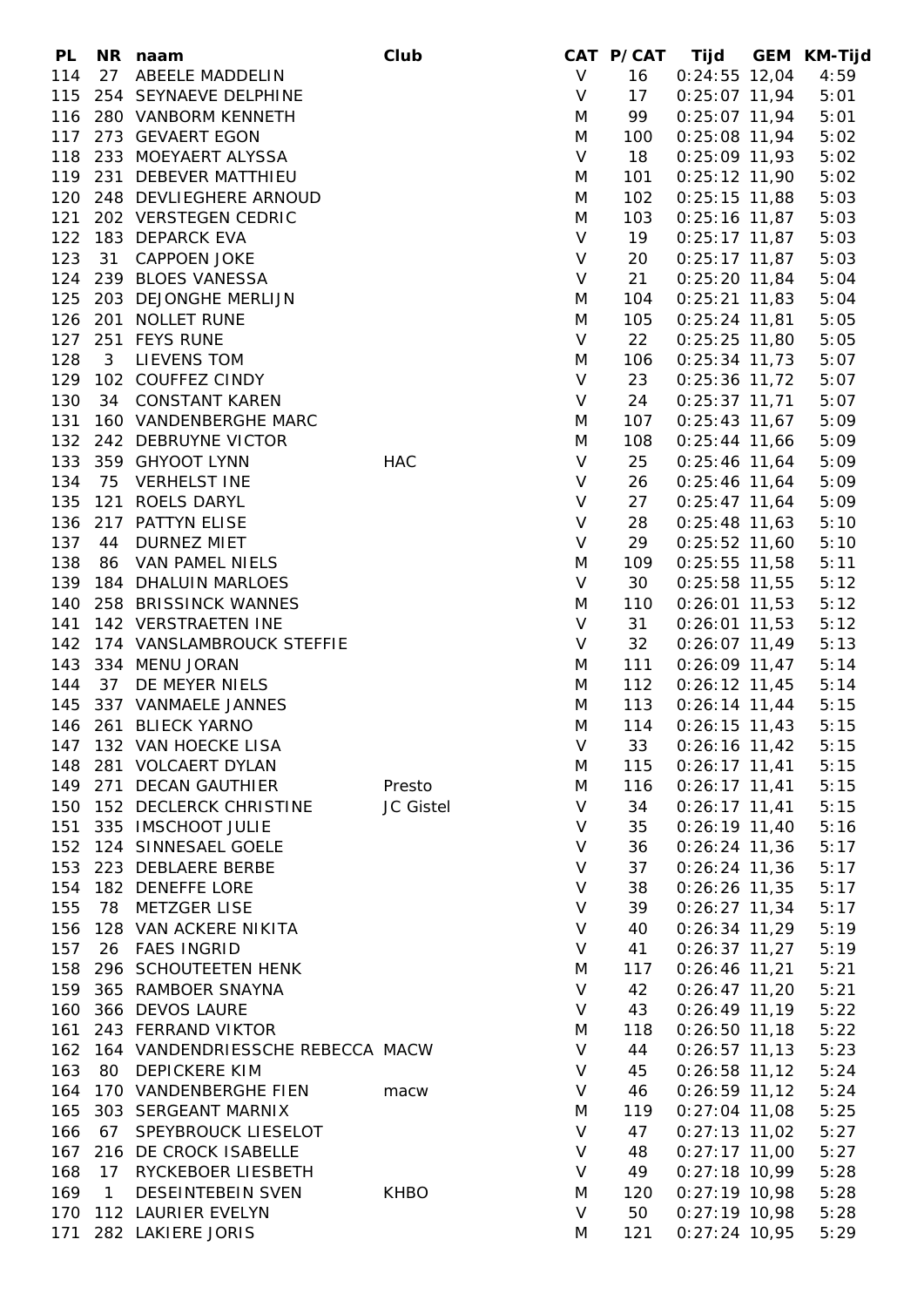| <b>PL</b> |                | NR naam                          | Club        |              | CAT P/CAT | Tijd             | GEM KM-Tijd |
|-----------|----------------|----------------------------------|-------------|--------------|-----------|------------------|-------------|
| 114       |                | 27 ABEELE MADDELIN               |             | $\mathsf{V}$ | 16        | $0:24:55$ 12,04  | 4:59        |
| 115       |                | 254 SEYNAEVE DELPHINE            |             | $\vee$       | 17        | $0:25:07$ 11,94  | 5:01        |
|           |                | 116 280 VANBORM KENNETH          |             | M            | 99        | $0:25:07$ 11,94  | 5:01        |
| 117       |                | 273 GEVAERT EGON                 |             | M            | 100       | $0:25:08$ 11,94  | 5:02        |
|           |                | 118 233 MOEYAERT ALYSSA          |             | $\vee$       | 18        | $0:25:09$ 11,93  | 5:02        |
|           |                | 119 231 DEBEVER MATTHIEU         |             | M            | 101       | $0:25:12$ 11,90  | 5:02        |
|           |                | 120 248 DEVLIEGHERE ARNOUD       |             | M            | 102       | $0:25:15$ 11,88  | 5:03        |
| 121       |                | 202 VERSTEGEN CEDRIC             |             | M            | 103       | $0:25:16$ 11,87  | 5:03        |
| 122       |                | 183 DEPARCK EVA                  |             | $\vee$       | 19        | $0:25:17$ 11,87  | 5:03        |
| 123       | 31             | <b>CAPPOEN JOKE</b>              |             | $\vee$       | 20        | $0:25:17$ 11,87  | 5:03        |
|           |                | 239 BLOES VANESSA                |             | V            |           |                  |             |
| 124       |                |                                  |             |              | 21        | $0:25:20$ 11,84  | 5:04        |
| 125       |                | 203 DEJONGHE MERLIJN             |             | M            | 104       | $0:25:21$ 11,83  | 5:04        |
|           |                | 126 201 NOLLET RUNE              |             | M            | 105       | $0:25:24$ 11,81  | 5:05        |
| 127       |                | 251 FEYS RUNE                    |             | $\vee$       | 22        | $0:25:25$ 11,80  | 5:05        |
| 128       | 3 <sup>7</sup> | LIEVENS TOM                      |             | M            | 106       | $0:25:34$ 11,73  | 5:07        |
| 129       |                | 102 COUFFEZ CINDY                |             | $\vee$       | 23        | $0:25:36$ 11,72  | 5:07        |
| 130       |                | 34 CONSTANT KAREN                |             | $\mathsf{V}$ | 24        | $0:25:37$ 11,71  | 5:07        |
| 131       |                | 160 VANDENBERGHE MARC            |             | M            | 107       | $0:25:43$ 11,67  | 5:09        |
| 132       |                | 242 DEBRUYNE VICTOR              |             | M            | 108       | $0:25:44$ 11,66  | 5:09        |
| 133       |                | 359 GHYOOT LYNN                  | <b>HAC</b>  | $\vee$       | 25        | $0:25:46$ 11,64  | 5:09        |
| 134       |                | 75 VERHELST INE                  |             | $\vee$       | 26        | $0:25:46$ 11,64  | 5:09        |
| 135       |                | 121 ROELS DARYL                  |             | $\vee$       | 27        | $0:25:47$ 11,64  | 5:09        |
| 136       |                | 217 PATTYN ELISE                 |             | $\sf V$      | 28        | $0:25:48$ 11,63  | 5:10        |
| 137       |                | 44 DURNEZ MIET                   |             | $\vee$       | 29        | $0:25:52$ 11,60  | 5:10        |
| 138       |                | 86 VAN PAMEL NIELS               |             | M            | 109       | $0:25:55$ 11,58  | 5:11        |
| 139       |                | 184 DHALUIN MARLOES              |             | $\vee$       | 30        | $0:25:58$ 11,55  | 5:12        |
| 140       |                | 258 BRISSINCK WANNES             |             | M            | 110       | $0:26:01$ 11,53  | 5:12        |
| 141       |                | 142 VERSTRAETEN INE              |             | $\vee$       | 31        | $0:26:01$ 11,53  | 5:12        |
| 142       |                | 174 VANSLAMBROUCK STEFFIE        |             | $\vee$       | 32        | $0:26:07$ 11,49  | 5:13        |
| 143       |                | 334 MENU JORAN                   |             | M            | 111       | $0:26:09$ 11,47  | 5:14        |
| 144       | 37             | DE MEYER NIELS                   |             | M            | 112       | $0:26:12$ 11,45  | 5:14        |
| 145       |                | 337 VANMAELE JANNES              |             | M            | 113       | $0:26:14$ 11,44  | 5:15        |
|           |                | 146 261 BLIECK YARNO             |             | M            | 114       | $0:26:15$ 11,43  | 5:15        |
|           |                | 147 132 VAN HOECKE LISA          |             |              |           |                  |             |
|           |                |                                  |             | V            |           | 33 0:26:16 11,42 | 5:15        |
| 148       |                | 281 VOLCAERT DYLAN               |             | M            | 115       | $0:26:17$ 11,41  | 5:15        |
|           |                | 149 271 DECAN GAUTHIER           | Presto      | M            | 116       | $0:26:17$ 11,41  | 5:15        |
| 150       |                | 152 DECLERCK CHRISTINE           | JC Gistel   | $\vee$       | 34        | $0:26:17$ 11,41  | 5:15        |
| 151       |                | 335 IMSCHOOT JULIE               |             | $\vee$       | 35        | $0:26:19$ 11,40  | 5:16        |
| 152       |                | 124 SINNESAEL GOELE              |             | $\sf V$      | 36        | $0:26:24$ 11,36  | 5:17        |
| 153       |                | 223 DEBLAERE BERBE               |             | $\sf V$      | 37        | $0:26:24$ 11,36  | 5:17        |
| 154       |                | 182 DENEFFE LORE                 |             | $\vee$       | 38        | $0:26:26$ 11,35  | 5:17        |
| 155       | 78             | <b>METZGER LISE</b>              |             | $\vee$       | 39        | $0:26:27$ 11,34  | 5:17        |
| 156       |                | 128 VAN ACKERE NIKITA            |             | $\vee$       | 40        | $0:26:34$ 11,29  | 5:19        |
| 157       |                | 26 FAES INGRID                   |             | V            | 41        | $0:26:37$ 11,27  | 5:19        |
| 158       |                | 296 SCHOUTEETEN HENK             |             | M            | 117       | $0:26:46$ 11,21  | 5:21        |
|           |                | 159 365 RAMBOER SNAYNA           |             | $\vee$       | 42        | $0:26:47$ 11,20  | 5:21        |
| 160       |                | 366 DEVOS LAURE                  |             | V            | 43        | $0:26:49$ 11,19  | 5:22        |
| 161       |                | 243 FERRAND VIKTOR               |             | M            | 118       | $0:26:50$ 11,18  | 5:22        |
| 162       |                | 164 VANDENDRIESSCHE REBECCA MACW |             | $\vee$       | 44        | $0:26:57$ 11,13  | 5:23        |
| 163       |                | 80 DEPICKERE KIM                 |             | $\vee$       | 45        | $0:26:58$ 11,12  | 5:24        |
| 164       |                | 170 VANDENBERGHE FIEN            | macw        | $\vee$       | 46        | $0:26:59$ 11,12  | 5:24        |
| 165       |                | 303 SERGEANT MARNIX              |             | M            | 119       | $0:27:04$ 11,08  | 5:25        |
| 166       |                | 67 SPEYBROUCK LIESELOT           |             | $\vee$       | 47        | $0:27:13$ 11,02  | 5:27        |
| 167       |                | 216 DE CROCK ISABELLE            |             | V            | 48        | $0:27:17$ 11,00  | 5:27        |
| 168       |                | 17 RYCKEBOER LIESBETH            |             | $\vee$       | 49        | $0:27:18$ 10,99  | 5:28        |
| 169       | $\mathbf{1}$   | <b>DESEINTEBEIN SVEN</b>         | <b>KHBO</b> | M            | 120       | $0:27:19$ 10,98  | 5:28        |
| 170       |                | 112 LAURIER EVELYN               |             | $\vee$       | 50        | $0:27:19$ 10,98  | 5:28        |
| 171       |                | 282 LAKIERE JORIS                |             |              | 121       | $0:27:24$ 10,95  |             |
|           |                |                                  |             | M            |           |                  | 5:29        |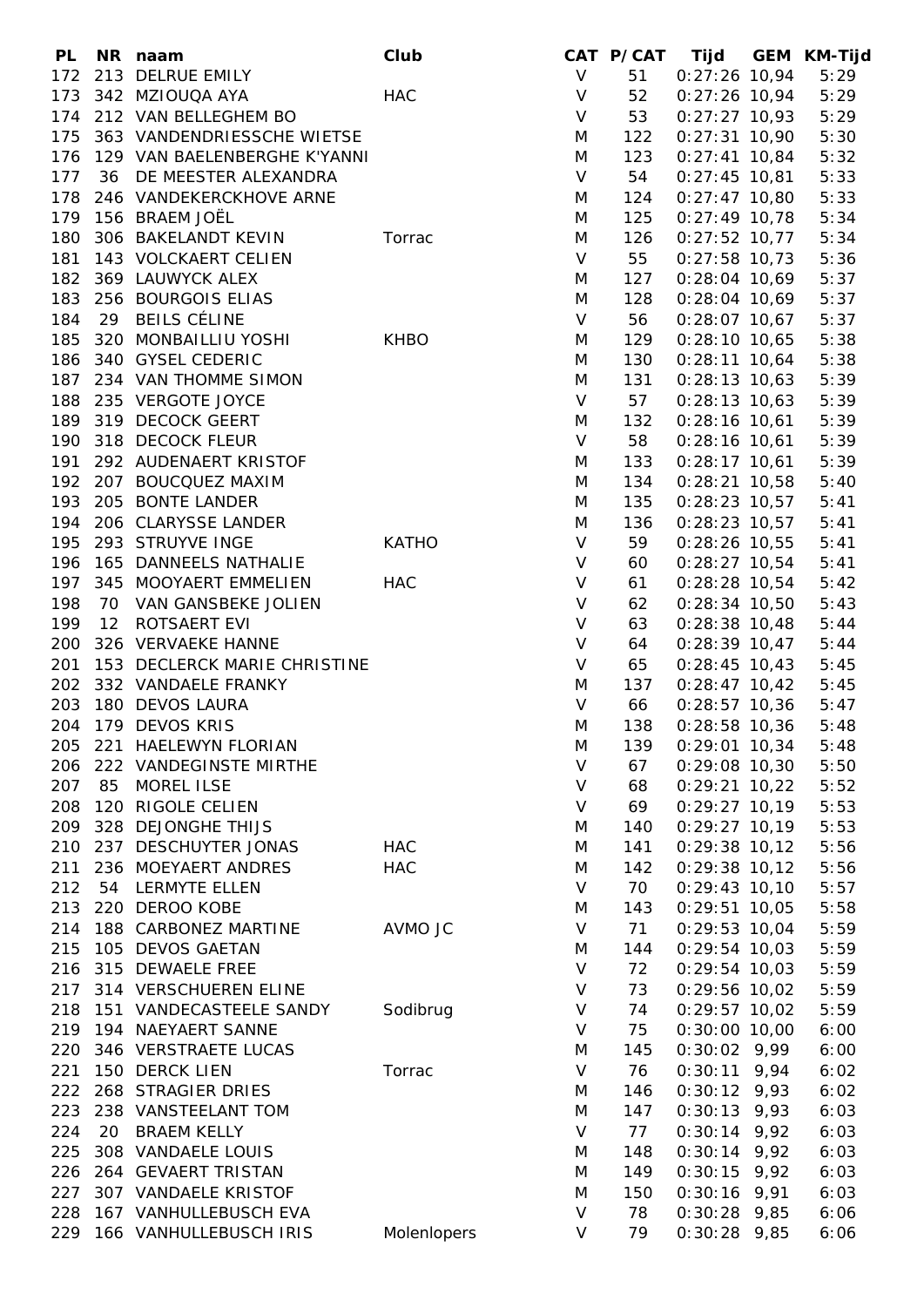| <b>PL</b> |     | NR naam                          | Club         |              |     |                   | CAT P/CAT Tijd GEM KM-Tijd |
|-----------|-----|----------------------------------|--------------|--------------|-----|-------------------|----------------------------|
| 172       |     | 213 DELRUE EMILY                 |              | $\mathsf{V}$ | 51  | $0:27:26$ 10,94   | 5:29                       |
| 173       |     | 342 MZIOUQA AYA                  | HAC          | $\vee$       | 52  | $0:27:26$ 10,94   | 5:29                       |
|           |     | 174 212 VAN BELLEGHEM BO         |              | $\mathsf{V}$ | 53  | $0:27:27$ 10,93   | 5:29                       |
| 175       |     | 363 VANDENDRIESSCHE WIETSE       |              | M            | 122 | $0:27:31$ 10,90   | 5:30                       |
|           |     | 176 129 VAN BAELENBERGHE K'YANNI |              | M            | 123 | $0:27:41$ 10,84   | 5:32                       |
| 177       |     | 36 DE MEESTER ALEXANDRA          |              | $\mathsf{V}$ | 54  | $0:27:45$ 10,81   | 5:33                       |
| 178       |     | 246 VANDEKERCKHOVE ARNE          |              | M            | 124 | $0:27:47$ 10,80   | 5:33                       |
| 179       |     | 156 BRAEM JOËL                   |              | M            | 125 | $0:27:49$ 10,78   | 5:34                       |
|           |     |                                  |              |              |     | $0:27:52$ 10,77   |                            |
| 180       |     | 306 BAKELANDT KEVIN              | Torrac       | M            | 126 |                   | 5:34                       |
| 181       |     | 143 VOLCKAERT CELIEN             |              | $\mathsf{V}$ | 55  | $0:27:58$ 10,73   | 5:36                       |
| 182       |     | 369 LAUWYCK ALEX                 |              | M            | 127 | $0:28:04$ 10,69   | 5:37                       |
| 183       |     | 256 BOURGOIS ELIAS               |              | M            | 128 | $0:28:04$ 10,69   | 5:37                       |
| 184       |     | 29 BEILS CÉLINE                  |              | V            | 56  | $0:28:07$ 10,67   | 5:37                       |
| 185       |     | 320 MONBAILLIU YOSHI             | <b>KHBO</b>  | M            | 129 | $0:28:10$ 10,65   | 5:38                       |
|           |     | 186 340 GYSEL CEDERIC            |              | M            | 130 | $0:28:11$ 10,64   | 5:38                       |
|           |     | 187 234 VAN THOMME SIMON         |              | M            | 131 | $0:28:13$ 10,63   | 5:39                       |
| 188       |     | 235 VERGOTE JOYCE                |              | $\mathsf{V}$ | 57  | $0:28:13$ 10,63   | 5:39                       |
|           |     | 189 319 DECOCK GEERT             |              | M            | 132 | $0:28:16$ 10,61   | 5:39                       |
| 190       |     | 318 DECOCK FLEUR                 |              | $\vee$       | 58  | $0:28:16$ 10,61   | 5:39                       |
| 191       |     | 292 AUDENAERT KRISTOF            |              | M            | 133 | $0:28:17$ 10,61   | 5:39                       |
|           |     | 192 207 BOUCQUEZ MAXIM           |              | M            | 134 | $0:28:21$ 10,58   | 5:40                       |
|           |     | 193 205 BONTE LANDER             |              | M            | 135 | $0:28:23$ 10,57   | 5:41                       |
|           |     | 194 206 CLARYSSE LANDER          |              | M            | 136 | $0:28:23$ 10,57   | 5:41                       |
| 195       |     | 293 STRUYVE INGE                 | <b>KATHO</b> | $\mathsf{V}$ | 59  | $0:28:26$ 10,55   | 5:41                       |
| 196       |     | 165 DANNEELS NATHALIE            |              | $\mathsf{V}$ | 60  | $0:28:27$ 10,54   | 5:41                       |
| 197       |     | 345 MOOYAERT EMMELIEN            | <b>HAC</b>   | $\vee$       | 61  | $0:28:28$ 10,54   | 5:42                       |
| 198       |     | 70 VAN GANSBEKE JOLIEN           |              | $\vee$       | 62  | $0:28:34$ 10,50   | 5:43                       |
| 199       |     | 12 ROTSAERT EVI                  |              | V            | 63  |                   |                            |
|           |     |                                  |              |              |     | $0:28:38$ 10,48   | 5:44                       |
| 200       |     | 326 VERVAEKE HANNE               |              | $\sf V$      | 64  | $0:28:39$ 10,47   | 5:44                       |
| 201       |     | 153 DECLERCK MARIE CHRISTINE     |              | $\vee$       | 65  | $0:28:45$ 10,43   | 5:45                       |
|           |     | 202 332 VANDAELE FRANKY          |              | M            | 137 | $0:28:47$ 10,42   | 5:45                       |
| 203       |     | 180 DEVOS LAURA                  |              | V            | 66  | $0:28:57$ 10,36   | 5:47                       |
|           |     | 204 179 DEVOS KRIS               |              | M            | 138 | $0:28:58$ 10,36   | 5:48                       |
|           |     | 205 221 HAELEWYN FLORIAN         |              | M            |     | 139 0:29:01 10,34 | 5:48                       |
| 206       |     | 222 VANDEGINSTE MIRTHE           |              | V            | 67  | $0:29:08$ 10,30   | 5:50                       |
| 207       | 85  | <b>MOREL ILSE</b>                |              | V            | 68  | $0:29:21$ 10,22   | 5:52                       |
| 208       | 120 | RIGOLE CELIEN                    |              | V            | 69  | $0:29:27$ 10,19   | 5:53                       |
| 209       |     | 328 DEJONGHE THIJS               |              | M            | 140 | $0:29:27$ 10,19   | 5:53                       |
| 210       |     | 237 DESCHUYTER JONAS             | <b>HAC</b>   | M            | 141 | $0:29:38$ 10,12   | 5:56                       |
| 211       |     | 236 MOEYAERT ANDRES              | <b>HAC</b>   | M            | 142 | $0:29:38$ 10,12   | 5:56                       |
| 212       | 54  | LERMYTE ELLEN                    |              | $\vee$       | 70  | $0:29:43$ 10,10   | 5:57                       |
| 213       |     | 220 DEROO KOBE                   |              | M            | 143 | $0:29:51$ 10,05   | 5:58                       |
| 214       |     | 188 CARBONEZ MARTINE             | AVMO JC      | $\vee$       | 71  | $0:29:53$ 10,04   | 5:59                       |
| 215       |     | 105 DEVOS GAETAN                 |              | M            | 144 | $0:29:54$ 10,03   | 5:59                       |
| 216       |     | 315 DEWAELE FREE                 |              | V            | 72  | $0:29:54$ 10,03   | 5:59                       |
| 217       |     | 314 VERSCHUEREN ELINE            |              | V            | 73  | $0:29:56$ 10,02   | 5:59                       |
| 218       |     | 151 VANDECASTEELE SANDY          | Sodibrug     | V            | 74  | $0:29:57$ 10,02   | 5:59                       |
| 219       |     | 194 NAEYAERT SANNE               |              | V            | 75  | $0:30:00$ 10,00   | 6:00                       |
| 220       |     | 346 VERSTRAETE LUCAS             |              |              | 145 |                   |                            |
|           |     |                                  |              | M            |     | $0:30:02$ 9,99    | 6:00                       |
| 221       |     | 150 DERCK LIEN                   | Torrac       | $\vee$       | 76  | $0:30:11$ 9,94    | 6:02                       |
| 222       |     | 268 STRAGIER DRIES               |              | M            | 146 | $0:30:12$ 9,93    | 6:02                       |
| 223       |     | 238 VANSTEELANT TOM              |              | M            | 147 | $0:30:13$ 9,93    | 6:03                       |
| 224       | 20  | <b>BRAEM KELLY</b>               |              | V            | 77  | $0:30:14$ 9,92    | 6:03                       |
| 225       |     | 308 VANDAELE LOUIS               |              | M            | 148 | $0:30:14$ 9,92    | 6:03                       |
| 226       |     | 264 GEVAERT TRISTAN              |              | M            | 149 | $0:30:15$ 9,92    | 6:03                       |
| 227       |     | 307 VANDAELE KRISTOF             |              | M            | 150 | $0:30:16$ 9,91    | 6:03                       |
| 228       |     | 167 VANHULLEBUSCH EVA            |              | $\vee$       | 78  | $0:30:28$ 9,85    | 6:06                       |
| 229       |     | 166 VANHULLEBUSCH IRIS           | Molenlopers  | V            | 79  | $0:30:28$ 9,85    | 6:06                       |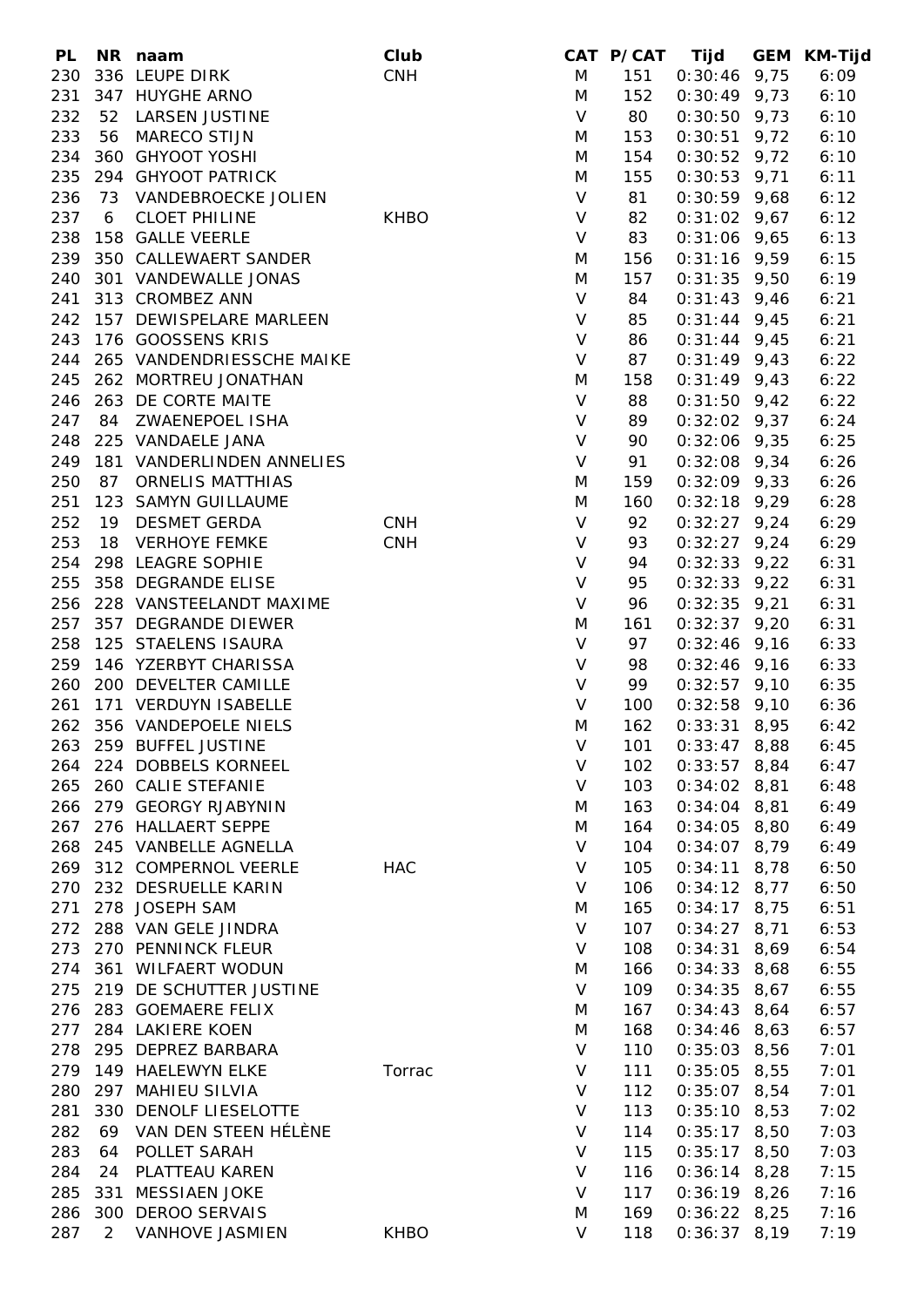| <b>PL</b> |     | NR naam                       | Club        |              | CAT P/CAT Tijd |                    |      | GEM KM-Tijd |
|-----------|-----|-------------------------------|-------------|--------------|----------------|--------------------|------|-------------|
| 230       |     | 336 LEUPE DIRK                | <b>CNH</b>  | M            | 151            | $0:30:46$ 9,75     |      | 6:09        |
| 231       |     | 347 HUYGHE ARNO               |             | M            | 152            | $0:30:49$ 9,73     |      | 6:10        |
| 232       | 52  | LARSEN JUSTINE                |             | $\vee$       | 80             | $0:30:50$ 9,73     |      | 6:10        |
| 233       |     | 56 MARECO STIJN               |             | M            | 153            | $0:30:51$ 9,72     |      | 6:10        |
| 234       |     | 360 GHYOOT YOSHI              |             | M            | 154            | $0:30:52$ 9,72     |      | 6:10        |
| 235       |     | 294 GHYOOT PATRICK            |             | M            | 155            | $0:30:53$ 9,71     |      | 6:11        |
| 236       |     | 73 VANDEBROECKE JOLIEN        |             | $\mathsf{V}$ | 81             | $0:30:59$ 9,68     |      | 6:12        |
| 237       | 6   | <b>CLOET PHILINE</b>          | <b>KHBO</b> | $\vee$       | 82             | $0:31:02$ 9,67     |      | 6:12        |
| 238       |     | 158 GALLE VEERLE              |             | $\vee$       | 83             | $0:31:06$ 9,65     |      | 6:13        |
| 239       |     | 350 CALLEWAERT SANDER         |             | M            | 156            | $0:31:16$ 9,59     |      | 6:15        |
| 240       |     | 301 VANDEWALLE JONAS          |             | M            | 157            | $0:31:35$ 9,50     |      | 6:19        |
|           |     | 313 CROMBEZ ANN               |             | $\mathsf{V}$ | 84             |                    |      |             |
| 241       |     |                               |             |              |                | $0:31:43$ 9,46     |      | 6:21        |
| 242       |     | 157 DEWISPELARE MARLEEN       |             | $\vee$       | 85             | $0:31:44$ 9,45     |      | 6:21        |
| 243       |     | 176 GOOSSENS KRIS             |             | $\vee$       | 86             | $0:31:44$ 9,45     |      | 6:21        |
|           |     | 244 265 VANDENDRIESSCHE MAIKE |             | $\vee$       | 87             | $0:31:49$ 9,43     |      | 6:22        |
| 245       |     | 262 MORTREU JONATHAN          |             | M            | 158            | $0:31:49$ 9,43     |      | 6:22        |
| 246       |     | 263 DE CORTE MAITE            |             | $\vee$       | 88             | $0:31:50$ 9,42     |      | 6:22        |
| 247       |     | 84 ZWAENEPOEL ISHA            |             | $\vee$       | 89             | $0:32:02$ 9,37     |      | 6:24        |
| 248       |     | 225 VANDAELE JANA             |             | $\vee$       | 90             | $0:32:06$ 9,35     |      | 6:25        |
| 249       |     | 181 VANDERLINDEN ANNELIES     |             | $\vee$       | 91             | $0:32:08$ 9,34     |      | 6:26        |
| 250       |     | 87 ORNELIS MATTHIAS           |             | M            | 159            | $0:32:09$ 9,33     |      | 6:26        |
| 251       |     | 123 SAMYN GUILLAUME           |             | M            | 160            | $0:32:18$ 9,29     |      | 6:28        |
| 252       |     | 19 DESMET GERDA               | <b>CNH</b>  | $\mathsf{V}$ | 92             | $0:32:27$ 9,24     |      | 6:29        |
| 253       |     | 18 VERHOYE FEMKE              | <b>CNH</b>  | $\vee$       | 93             | $0:32:27$ 9,24     |      | 6:29        |
| 254       |     | 298 LEAGRE SOPHIE             |             | $\vee$       | 94             | $0:32:33$ 9,22     |      | 6:31        |
| 255       |     | 358 DEGRANDE ELISE            |             | $\vee$       | 95             | $0:32:33$ 9,22     |      | 6:31        |
|           |     | 256 228 VANSTEELANDT MAXIME   |             | $\vee$       | 96             | $0:32:35$ 9,21     |      | 6:31        |
| 257       |     | 357 DEGRANDE DIEWER           |             | M            | 161            | $0:32:37$ 9,20     |      | 6:31        |
| 258       |     | 125 STAELENS ISAURA           |             | $\vee$       | 97             | $0:32:46$ 9,16     |      | 6:33        |
| 259       |     | 146 YZERBYT CHARISSA          |             | $\vee$       | 98             | $0:32:46$ 9,16     |      | 6:33        |
| 260       |     | 200 DEVELTER CAMILLE          |             | $\vee$       | 99             | $0:32:57$ 9,10     |      | 6:35        |
| 261       |     | 171 VERDUYN ISABELLE          |             | $\vee$       | 100            | $0:32:58$ 9,10     |      | 6:36        |
|           |     | 262 356 VANDEPOELE NIELS      |             | M            | 162            | $0:33:31$ 8,95     |      | 6:42        |
|           |     |                               |             |              |                |                    |      |             |
|           |     | 263 259 BUFFEL JUSTINE        |             | V            |                | 101  0:33:47  8,88 |      | 6:45        |
|           |     | 264 224 DOBBELS KORNEEL       |             | V            | 102            | $0:33:57$ 8,84     |      | 6:47        |
| 265       |     | 260 CALIE STEFANIE            |             | V            | 103            | $0:34:02$ 8,81     |      | 6:48        |
| 266       |     | 279 GEORGY RJABYNIN           |             | M            | 163            | $0:34:04$ 8,81     |      | 6:49        |
| 267       |     | 276 HALLAERT SEPPE            |             | M            | 164            | $0:34:05$ 8,80     |      | 6:49        |
| 268       |     | 245 VANBELLE AGNELLA          |             | $\vee$       | 104            | $0:34:07$ 8,79     |      | 6:49        |
| 269       |     | 312 COMPERNOL VEERLE          | HAC         | $\vee$       | 105            | $0:34:11$ 8,78     |      | 6:50        |
| 270       |     | 232 DESRUELLE KARIN           |             | V            | 106            | $0:34:12$ 8,77     |      | 6:50        |
| 271       |     | 278 JOSEPH SAM                |             | M            | 165            | $0:34:17$ 8,75     |      | 6:51        |
|           |     | 272 288 VAN GELE JINDRA       |             | $\vee$       | 107            | $0:34:27$ 8,71     |      | 6:53        |
| 273       |     | 270 PENNINCK FLEUR            |             | V            | 108            | $0:34:31$ 8,69     |      | 6:54        |
| 274       |     | 361 WILFAERT WODUN            |             | M            | 166            | $0:34:33$ 8,68     |      | 6:55        |
| 275       |     | 219 DE SCHUTTER JUSTINE       |             | $\vee$       | 109            | $0:34:35$ 8,67     |      | 6:55        |
| 276       |     | 283 GOEMAERE FELIX            |             | M            | 167            | 0:34:43            | 8,64 | 6:57        |
| 277       |     | 284 LAKIERE KOEN              |             | M            | 168            | $0:34:46$ 8,63     |      | 6:57        |
| 278       |     | 295 DEPREZ BARBARA            |             | $\vee$       | 110            | $0:35:03$ 8,56     |      | 7:01        |
| 279       |     | 149 HAELEWYN ELKE             | Torrac      | V            | 111            | $0:35:05$ 8,55     |      | 7:01        |
| 280       |     | 297 MAHIEU SILVIA             |             | V            | 112            | $0:35:07$ 8,54     |      | 7:01        |
| 281       |     | 330 DENOLF LIESELOTTE         |             | $\vee$       | 113            | $0:35:10$ 8,53     |      | 7:02        |
| 282       | 69  | VAN DEN STEEN HÉLÈNE          |             | $\vee$       | 114            | $0:35:17$ 8,50     |      | 7:03        |
| 283       | 64  | POLLET SARAH                  |             | $\vee$       | 115            | $0:35:17$ 8,50     |      | 7:03        |
|           |     |                               |             |              |                |                    |      |             |
| 284       | 24  | PLATTEAU KAREN                |             | V            | 116            | $0:36:14$ 8,28     |      | 7:15        |
| 285       | 331 | <b>MESSIAEN JOKE</b>          |             | $\vee$       | 117            | $0:36:19$ 8,26     |      | 7:16        |
| 286       | 300 | <b>DEROO SERVAIS</b>          |             | M            | 169            | $0:36:22$ 8,25     |      | 7:16        |
| 287       | 2   | VANHOVE JASMIEN               | <b>KHBO</b> | V            | 118            | $0:36:37$ 8,19     |      | 7:19        |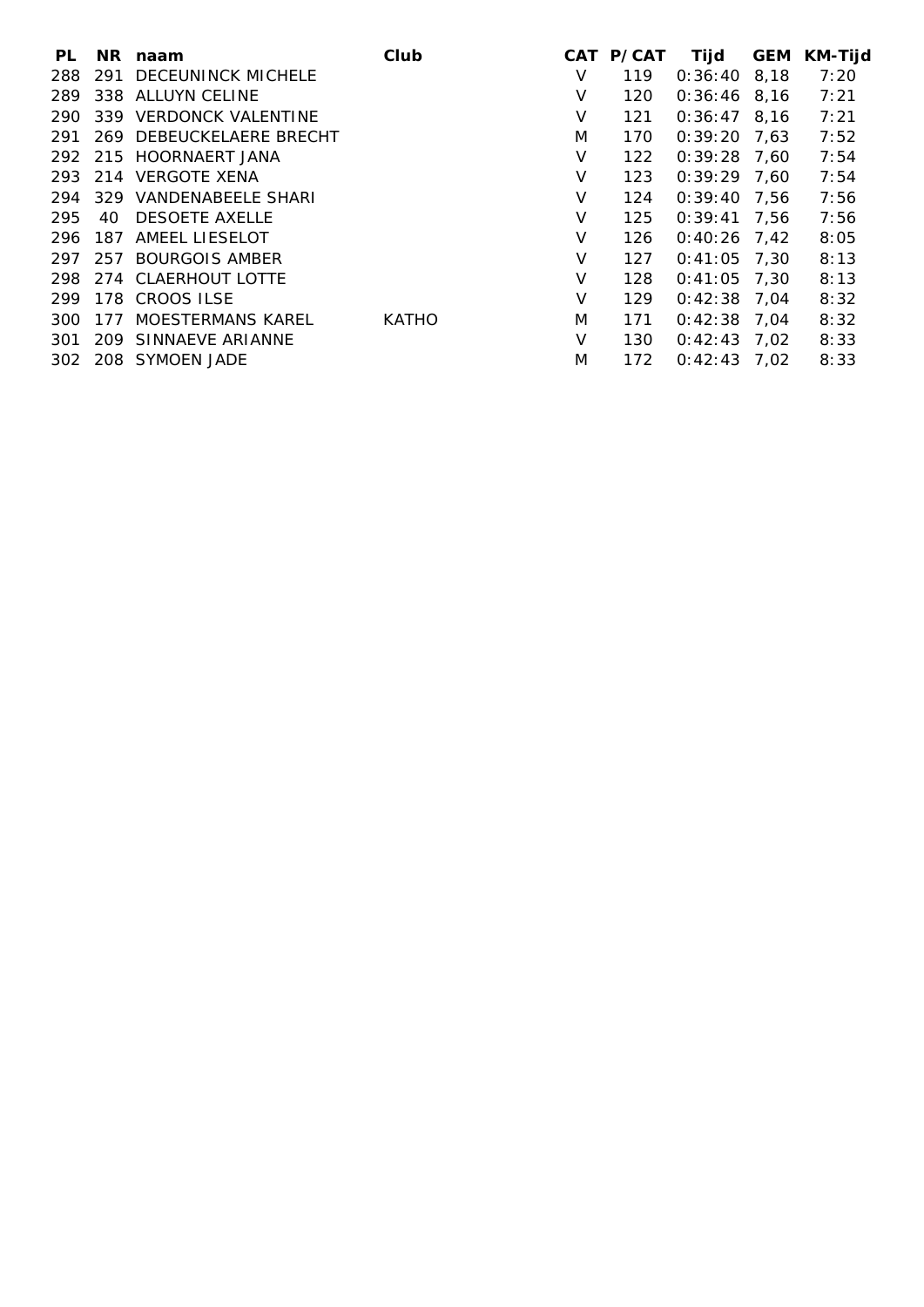| PL  |     | NR naam                  | Club         |   | CAT P/CAT | Tijd           | <b>GEM</b> | <b>KM-Tijd</b> |
|-----|-----|--------------------------|--------------|---|-----------|----------------|------------|----------------|
| 288 |     | 291 DECEUNINCK MICHELE   |              | V | 119       | $0:36:40$ 8,18 |            | 7:20           |
| 289 |     | 338 ALLUYN CELINE        |              | V | 120       | $0:36:46$ 8.16 |            | 7:21           |
| 290 |     | 339 VERDONCK VALENTINE   |              | V | 121       | $0:36:47$ 8,16 |            | 7:21           |
| 291 |     | 269 DEBEUCKELAERE BRECHT |              | M | 170       | $0:39:20$ 7.63 |            | 7:52           |
|     |     | 292 215 HOORNAERT JANA   |              | V | 122       | $0:39:28$ 7,60 |            | 7:54           |
|     |     | 293 214 VERGOTE XENA     |              | V | 123       | $0:39:29$ 7,60 |            | 7:54           |
| 294 |     | 329 VANDENABEELE SHARI   |              | V | 124       | $0:39:40$ 7,56 |            | 7:56           |
| 295 | 40  | <b>DESOETE AXELLE</b>    |              | V | 125       | $0:39:41$ 7.56 |            | 7:56           |
| 296 |     | 187 AMEEL LIESELOT       |              | V | 126       | $0:40:26$ 7.42 |            | 8:05           |
| 297 |     | 257 BOURGOIS AMBER       |              | V | 127       | $0:41:05$ 7,30 |            | 8:13           |
|     |     | 298 274 CLAERHOUT LOTTE  |              | V | 128       | $0:41:05$ 7,30 |            | 8:13           |
|     |     | 299 178 CROOS ILSE       |              | V | 129       | $0:42:38$ 7,04 |            | 8:32           |
| 300 | 177 | MOESTERMANS KAREL        | <b>KATHO</b> | M | 171       | $0:42:38$ 7,04 |            | 8:32           |
| 301 |     | 209 SINNAEVE ARIANNE     |              | V | 130       | $0:42:43$ 7,02 |            | 8:33           |
|     |     | 302 208 SYMOEN JADE      |              | M | 172       | $0:42:43$ 7,02 |            | 8:33           |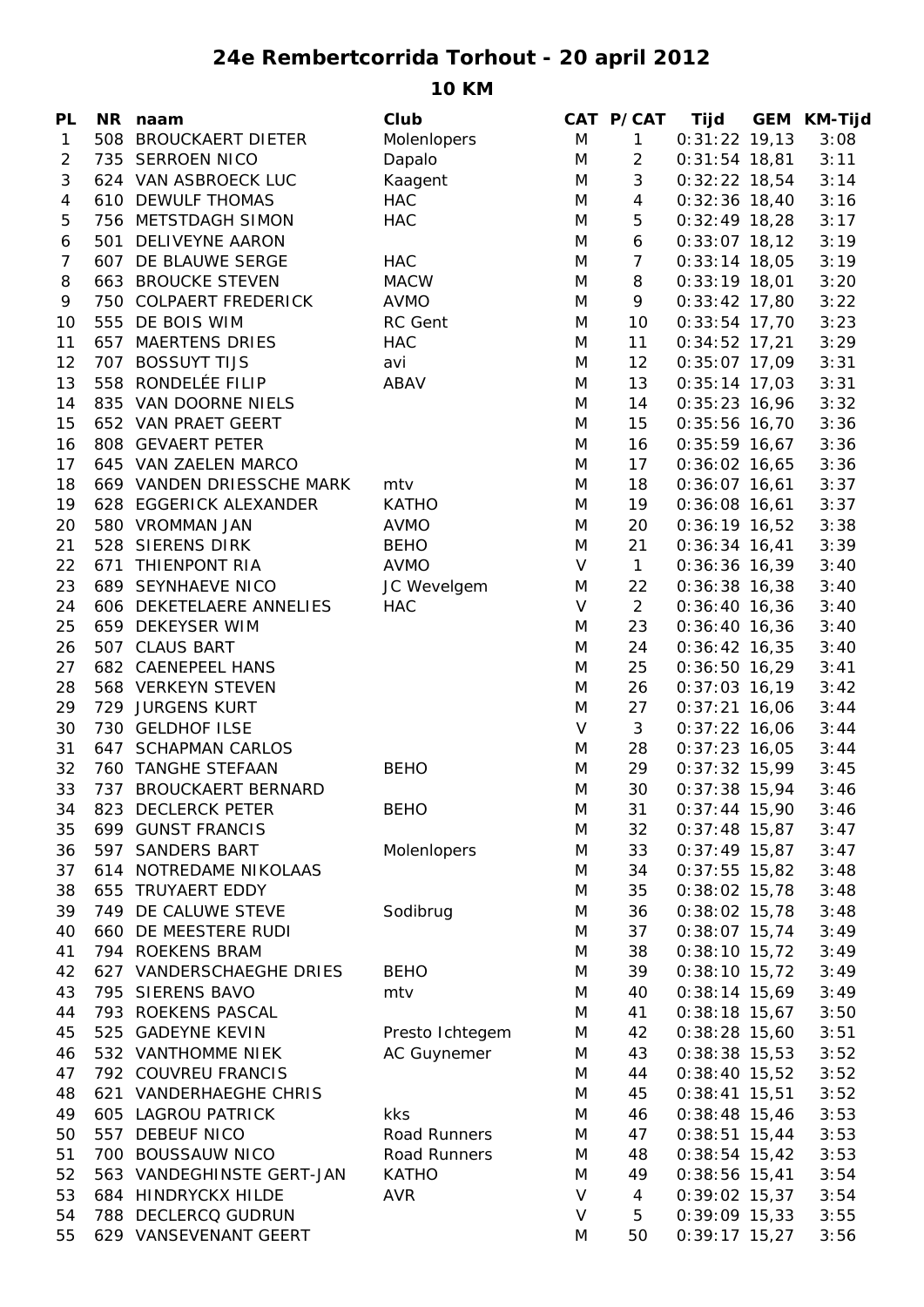## **24e Rembertcorrida Torhout - 20 april 2012**

**10 KM**

| 508 BROUCKAERT DIETER<br>Molenlopers<br>M<br>$\mathbf{1}$<br>$0:31:22$ 19,13<br>$\mathbf{1}$<br>$\overline{c}$<br>735 SERROEN NICO<br>Dapalo<br>M<br>2<br>$0:31:54$ 18,81<br>3<br>3<br>624 VAN ASBROECK LUC<br>M<br>$0:32:22$ 18,54<br>Kaagent<br>$\overline{4}$<br>$\overline{4}$<br>610 DEWULF THOMAS<br><b>HAC</b><br>$0:32:36$ 18,40<br>M<br>5<br><b>HAC</b><br>5<br>756 METSTDAGH SIMON<br>M<br>$0:32:49$ 18,28<br>6<br>501 DELIVEYNE AARON<br>M<br>6<br>$0:33:07$ 18,12<br>607 DE BLAUWE SERGE<br><b>HAC</b><br>$\overline{7}$<br>7<br>M<br>$0:33:14$ 18,05<br>8<br>663 BROUCKE STEVEN<br>8<br><b>MACW</b><br>M<br>$0:33:19$ 18,01<br>9<br>750 COLPAERT FREDERICK<br><b>AVMO</b><br>M<br>9<br>$0:33:42$ 17,80<br>555 DE BOIS WIM<br>RC Gent<br>M<br>10<br>10<br>$0:33:54$ 17,70<br><b>657 MAERTENS DRIES</b><br>11<br><b>HAC</b><br>M<br>11<br>$0:34:52$ 17,21<br>707 BOSSUYT TIJS<br>12<br>avi<br>M<br>12<br>$0:35:07$ 17,09<br>558 RONDELÉE FILIP<br>ABAV<br>13<br>13<br>$0:35:14$ 17,03<br>M<br>835 VAN DOORNE NIELS<br>14<br>14<br>$0:35:23$ 16,96<br>M<br>15<br>652 VAN PRAET GEERT<br>15<br>$0:35:56$ 16,70<br>M<br>16<br>808 GEVAERT PETER<br>16<br>$0:35:59$ 16,67<br>M<br>17<br>645 VAN ZAELEN MARCO<br>M<br>17<br>$0:36:02$ 16,65<br>669 VANDEN DRIESSCHE MARK<br>18<br>$0:36:07$ 16,61<br>18<br>mtv<br>M<br><b>KATHO</b><br>19<br>628 EGGERICK ALEXANDER<br>M<br>19<br>$0:36:08$ 16,61<br>20<br>580 VROMMAN JAN<br><b>AVMO</b><br>20<br>M<br>$0:36:19$ 16,52<br>528 SIERENS DIRK<br>21<br><b>BEHO</b><br>M<br>21<br>$0:36:34$ 16,41<br>22<br>671 THIENPONT RIA<br><b>AVMO</b><br>V<br>$\mathbf{1}$<br>$0:36:36$ 16,39<br>23<br>JC Wevelgem<br>689 SEYNHAEVE NICO<br>M<br>22<br>$0:36:38$ 16,38<br>$\overline{2}$<br><b>HAC</b><br>V<br>24<br>606 DEKETELAERE ANNELIES<br>$0:36:40$ 16,36<br>25<br>659 DEKEYSER WIM<br>M<br>23<br>$0:36:40$ 16,36<br>26<br>507 CLAUS BART<br>24<br>$0:36:42$ 16,35<br>M<br>27<br>25<br>682 CAENEPEEL HANS<br>M<br>$0:36:50$ 16,29<br>28<br>568 VERKEYN STEVEN<br>M<br>26<br>$0:37:03$ 16,19<br>729 JURGENS KURT<br>29<br>M<br>27<br>$0:37:21$ 16,06<br>730 GELDHOF ILSE<br>$\vee$<br>3<br>30<br>$0:37:22$ 16,06<br>31<br>647 SCHAPMAN CARLOS<br>M<br>28<br>$0:37:23$ 16,05<br>32<br>760 TANGHE STEFAAN<br>M<br>29<br>$0:37:32$ 15,99<br><b>BEHO</b><br>33<br>737 BROUCKAERT BERNARD<br>30<br>M<br>$0:37:38$ 15,94<br>823 DECLERCK PETER<br><b>BEHO</b><br>34<br>M<br>31<br>$0:37:44$ 15,90<br>699 GUNST FRANCIS<br>32<br>$0:37:48$ 15,87<br>35<br>M<br>597 SANDERS BART<br>Molenlopers<br>M<br>33<br>$0:37:49$ 15,87<br>36<br>37<br>614 NOTREDAME NIKOLAAS<br>34<br>$0:37:55$ 15,82<br>M<br>38<br>655 TRUYAERT EDDY<br>35<br>$0:38:02$ 15,78<br>M<br>Sodibrug<br>39<br>749 DE CALUWE STEVE<br>36<br>$0:38:02$ 15,78<br>M<br>660 DE MEESTERE RUDI<br>37<br>$0:38:07$ 15,74<br>40<br>M<br>794 ROEKENS BRAM<br>38<br>41<br>$0:38:10$ 15,72<br>M<br>627 VANDERSCHAEGHE DRIES<br>39<br>$0:38:10$ 15,72<br>42<br><b>BEHO</b><br>M<br>43<br>795 SIERENS BAVO<br>40<br>$0:38:14$ 15,69<br>mtv<br>M<br>44<br>793 ROEKENS PASCAL<br>41<br>$0:38:18$ 15,67<br>M<br>45<br>525 GADEYNE KEVIN<br>Presto Ichtegem<br>42<br>$0:38:28$ 15,60<br>M<br>532 VANTHOMME NIEK<br><b>AC Guynemer</b><br>43<br>$0:38:38$ 15,53<br>46<br>M<br>792 COUVREU FRANCIS<br>44<br>$0:38:40$ 15,52<br>47<br>M<br>621 VANDERHAEGHE CHRIS<br>45<br>$0:38:41$ 15,51<br>48<br>M<br>49<br>605 LAGROU PATRICK<br>kks<br>$0:38:48$ 15,46<br>M<br>46<br>557 DEBEUF NICO<br>50<br>Road Runners<br>M<br>47<br>$0:38:51$ 15,44<br>700 BOUSSAUW NICO<br>51<br>Road Runners<br>48<br>$0:38:54$ 15,42<br>M<br>52<br>563 VANDEGHINSTE GERT-JAN<br><b>KATHO</b><br>49<br>$0:38:56$ 15,41<br>M<br>V<br>53<br><b>HINDRYCKX HILDE</b><br><b>AVR</b><br>4<br>$0:39:02$ 15,37<br>684 | PL | NR naam | Club | CAT P/CAT | Tijd | <b>GEM KM-Tijd</b> |
|-------------------------------------------------------------------------------------------------------------------------------------------------------------------------------------------------------------------------------------------------------------------------------------------------------------------------------------------------------------------------------------------------------------------------------------------------------------------------------------------------------------------------------------------------------------------------------------------------------------------------------------------------------------------------------------------------------------------------------------------------------------------------------------------------------------------------------------------------------------------------------------------------------------------------------------------------------------------------------------------------------------------------------------------------------------------------------------------------------------------------------------------------------------------------------------------------------------------------------------------------------------------------------------------------------------------------------------------------------------------------------------------------------------------------------------------------------------------------------------------------------------------------------------------------------------------------------------------------------------------------------------------------------------------------------------------------------------------------------------------------------------------------------------------------------------------------------------------------------------------------------------------------------------------------------------------------------------------------------------------------------------------------------------------------------------------------------------------------------------------------------------------------------------------------------------------------------------------------------------------------------------------------------------------------------------------------------------------------------------------------------------------------------------------------------------------------------------------------------------------------------------------------------------------------------------------------------------------------------------------------------------------------------------------------------------------------------------------------------------------------------------------------------------------------------------------------------------------------------------------------------------------------------------------------------------------------------------------------------------------------------------------------------------------------------------------------------------------------------------------------------------------------------------------------------------------------------------------------------------------------------------------------------------------------------------------------------------------------------------------------------------------------------------------------------------------------------------------------------------------------------------------------------------------------------------------------------------------------------------------------------------------------------------------------------------------------------------------------------------------------------------------------------|----|---------|------|-----------|------|--------------------|
|                                                                                                                                                                                                                                                                                                                                                                                                                                                                                                                                                                                                                                                                                                                                                                                                                                                                                                                                                                                                                                                                                                                                                                                                                                                                                                                                                                                                                                                                                                                                                                                                                                                                                                                                                                                                                                                                                                                                                                                                                                                                                                                                                                                                                                                                                                                                                                                                                                                                                                                                                                                                                                                                                                                                                                                                                                                                                                                                                                                                                                                                                                                                                                                                                                                                                                                                                                                                                                                                                                                                                                                                                                                                                                                                                                               |    |         |      |           |      | 3:08               |
|                                                                                                                                                                                                                                                                                                                                                                                                                                                                                                                                                                                                                                                                                                                                                                                                                                                                                                                                                                                                                                                                                                                                                                                                                                                                                                                                                                                                                                                                                                                                                                                                                                                                                                                                                                                                                                                                                                                                                                                                                                                                                                                                                                                                                                                                                                                                                                                                                                                                                                                                                                                                                                                                                                                                                                                                                                                                                                                                                                                                                                                                                                                                                                                                                                                                                                                                                                                                                                                                                                                                                                                                                                                                                                                                                                               |    |         |      |           |      | 3:11               |
|                                                                                                                                                                                                                                                                                                                                                                                                                                                                                                                                                                                                                                                                                                                                                                                                                                                                                                                                                                                                                                                                                                                                                                                                                                                                                                                                                                                                                                                                                                                                                                                                                                                                                                                                                                                                                                                                                                                                                                                                                                                                                                                                                                                                                                                                                                                                                                                                                                                                                                                                                                                                                                                                                                                                                                                                                                                                                                                                                                                                                                                                                                                                                                                                                                                                                                                                                                                                                                                                                                                                                                                                                                                                                                                                                                               |    |         |      |           |      | 3:14               |
|                                                                                                                                                                                                                                                                                                                                                                                                                                                                                                                                                                                                                                                                                                                                                                                                                                                                                                                                                                                                                                                                                                                                                                                                                                                                                                                                                                                                                                                                                                                                                                                                                                                                                                                                                                                                                                                                                                                                                                                                                                                                                                                                                                                                                                                                                                                                                                                                                                                                                                                                                                                                                                                                                                                                                                                                                                                                                                                                                                                                                                                                                                                                                                                                                                                                                                                                                                                                                                                                                                                                                                                                                                                                                                                                                                               |    |         |      |           |      | 3:16               |
|                                                                                                                                                                                                                                                                                                                                                                                                                                                                                                                                                                                                                                                                                                                                                                                                                                                                                                                                                                                                                                                                                                                                                                                                                                                                                                                                                                                                                                                                                                                                                                                                                                                                                                                                                                                                                                                                                                                                                                                                                                                                                                                                                                                                                                                                                                                                                                                                                                                                                                                                                                                                                                                                                                                                                                                                                                                                                                                                                                                                                                                                                                                                                                                                                                                                                                                                                                                                                                                                                                                                                                                                                                                                                                                                                                               |    |         |      |           |      | 3:17               |
|                                                                                                                                                                                                                                                                                                                                                                                                                                                                                                                                                                                                                                                                                                                                                                                                                                                                                                                                                                                                                                                                                                                                                                                                                                                                                                                                                                                                                                                                                                                                                                                                                                                                                                                                                                                                                                                                                                                                                                                                                                                                                                                                                                                                                                                                                                                                                                                                                                                                                                                                                                                                                                                                                                                                                                                                                                                                                                                                                                                                                                                                                                                                                                                                                                                                                                                                                                                                                                                                                                                                                                                                                                                                                                                                                                               |    |         |      |           |      | 3:19               |
|                                                                                                                                                                                                                                                                                                                                                                                                                                                                                                                                                                                                                                                                                                                                                                                                                                                                                                                                                                                                                                                                                                                                                                                                                                                                                                                                                                                                                                                                                                                                                                                                                                                                                                                                                                                                                                                                                                                                                                                                                                                                                                                                                                                                                                                                                                                                                                                                                                                                                                                                                                                                                                                                                                                                                                                                                                                                                                                                                                                                                                                                                                                                                                                                                                                                                                                                                                                                                                                                                                                                                                                                                                                                                                                                                                               |    |         |      |           |      | 3:19               |
|                                                                                                                                                                                                                                                                                                                                                                                                                                                                                                                                                                                                                                                                                                                                                                                                                                                                                                                                                                                                                                                                                                                                                                                                                                                                                                                                                                                                                                                                                                                                                                                                                                                                                                                                                                                                                                                                                                                                                                                                                                                                                                                                                                                                                                                                                                                                                                                                                                                                                                                                                                                                                                                                                                                                                                                                                                                                                                                                                                                                                                                                                                                                                                                                                                                                                                                                                                                                                                                                                                                                                                                                                                                                                                                                                                               |    |         |      |           |      | 3:20               |
|                                                                                                                                                                                                                                                                                                                                                                                                                                                                                                                                                                                                                                                                                                                                                                                                                                                                                                                                                                                                                                                                                                                                                                                                                                                                                                                                                                                                                                                                                                                                                                                                                                                                                                                                                                                                                                                                                                                                                                                                                                                                                                                                                                                                                                                                                                                                                                                                                                                                                                                                                                                                                                                                                                                                                                                                                                                                                                                                                                                                                                                                                                                                                                                                                                                                                                                                                                                                                                                                                                                                                                                                                                                                                                                                                                               |    |         |      |           |      | 3:22               |
|                                                                                                                                                                                                                                                                                                                                                                                                                                                                                                                                                                                                                                                                                                                                                                                                                                                                                                                                                                                                                                                                                                                                                                                                                                                                                                                                                                                                                                                                                                                                                                                                                                                                                                                                                                                                                                                                                                                                                                                                                                                                                                                                                                                                                                                                                                                                                                                                                                                                                                                                                                                                                                                                                                                                                                                                                                                                                                                                                                                                                                                                                                                                                                                                                                                                                                                                                                                                                                                                                                                                                                                                                                                                                                                                                                               |    |         |      |           |      | 3:23               |
|                                                                                                                                                                                                                                                                                                                                                                                                                                                                                                                                                                                                                                                                                                                                                                                                                                                                                                                                                                                                                                                                                                                                                                                                                                                                                                                                                                                                                                                                                                                                                                                                                                                                                                                                                                                                                                                                                                                                                                                                                                                                                                                                                                                                                                                                                                                                                                                                                                                                                                                                                                                                                                                                                                                                                                                                                                                                                                                                                                                                                                                                                                                                                                                                                                                                                                                                                                                                                                                                                                                                                                                                                                                                                                                                                                               |    |         |      |           |      | 3:29               |
|                                                                                                                                                                                                                                                                                                                                                                                                                                                                                                                                                                                                                                                                                                                                                                                                                                                                                                                                                                                                                                                                                                                                                                                                                                                                                                                                                                                                                                                                                                                                                                                                                                                                                                                                                                                                                                                                                                                                                                                                                                                                                                                                                                                                                                                                                                                                                                                                                                                                                                                                                                                                                                                                                                                                                                                                                                                                                                                                                                                                                                                                                                                                                                                                                                                                                                                                                                                                                                                                                                                                                                                                                                                                                                                                                                               |    |         |      |           |      | 3:31               |
|                                                                                                                                                                                                                                                                                                                                                                                                                                                                                                                                                                                                                                                                                                                                                                                                                                                                                                                                                                                                                                                                                                                                                                                                                                                                                                                                                                                                                                                                                                                                                                                                                                                                                                                                                                                                                                                                                                                                                                                                                                                                                                                                                                                                                                                                                                                                                                                                                                                                                                                                                                                                                                                                                                                                                                                                                                                                                                                                                                                                                                                                                                                                                                                                                                                                                                                                                                                                                                                                                                                                                                                                                                                                                                                                                                               |    |         |      |           |      | 3:31               |
|                                                                                                                                                                                                                                                                                                                                                                                                                                                                                                                                                                                                                                                                                                                                                                                                                                                                                                                                                                                                                                                                                                                                                                                                                                                                                                                                                                                                                                                                                                                                                                                                                                                                                                                                                                                                                                                                                                                                                                                                                                                                                                                                                                                                                                                                                                                                                                                                                                                                                                                                                                                                                                                                                                                                                                                                                                                                                                                                                                                                                                                                                                                                                                                                                                                                                                                                                                                                                                                                                                                                                                                                                                                                                                                                                                               |    |         |      |           |      | 3:32               |
|                                                                                                                                                                                                                                                                                                                                                                                                                                                                                                                                                                                                                                                                                                                                                                                                                                                                                                                                                                                                                                                                                                                                                                                                                                                                                                                                                                                                                                                                                                                                                                                                                                                                                                                                                                                                                                                                                                                                                                                                                                                                                                                                                                                                                                                                                                                                                                                                                                                                                                                                                                                                                                                                                                                                                                                                                                                                                                                                                                                                                                                                                                                                                                                                                                                                                                                                                                                                                                                                                                                                                                                                                                                                                                                                                                               |    |         |      |           |      | 3:36               |
|                                                                                                                                                                                                                                                                                                                                                                                                                                                                                                                                                                                                                                                                                                                                                                                                                                                                                                                                                                                                                                                                                                                                                                                                                                                                                                                                                                                                                                                                                                                                                                                                                                                                                                                                                                                                                                                                                                                                                                                                                                                                                                                                                                                                                                                                                                                                                                                                                                                                                                                                                                                                                                                                                                                                                                                                                                                                                                                                                                                                                                                                                                                                                                                                                                                                                                                                                                                                                                                                                                                                                                                                                                                                                                                                                                               |    |         |      |           |      | 3:36               |
|                                                                                                                                                                                                                                                                                                                                                                                                                                                                                                                                                                                                                                                                                                                                                                                                                                                                                                                                                                                                                                                                                                                                                                                                                                                                                                                                                                                                                                                                                                                                                                                                                                                                                                                                                                                                                                                                                                                                                                                                                                                                                                                                                                                                                                                                                                                                                                                                                                                                                                                                                                                                                                                                                                                                                                                                                                                                                                                                                                                                                                                                                                                                                                                                                                                                                                                                                                                                                                                                                                                                                                                                                                                                                                                                                                               |    |         |      |           |      | 3:36               |
|                                                                                                                                                                                                                                                                                                                                                                                                                                                                                                                                                                                                                                                                                                                                                                                                                                                                                                                                                                                                                                                                                                                                                                                                                                                                                                                                                                                                                                                                                                                                                                                                                                                                                                                                                                                                                                                                                                                                                                                                                                                                                                                                                                                                                                                                                                                                                                                                                                                                                                                                                                                                                                                                                                                                                                                                                                                                                                                                                                                                                                                                                                                                                                                                                                                                                                                                                                                                                                                                                                                                                                                                                                                                                                                                                                               |    |         |      |           |      | 3:37               |
|                                                                                                                                                                                                                                                                                                                                                                                                                                                                                                                                                                                                                                                                                                                                                                                                                                                                                                                                                                                                                                                                                                                                                                                                                                                                                                                                                                                                                                                                                                                                                                                                                                                                                                                                                                                                                                                                                                                                                                                                                                                                                                                                                                                                                                                                                                                                                                                                                                                                                                                                                                                                                                                                                                                                                                                                                                                                                                                                                                                                                                                                                                                                                                                                                                                                                                                                                                                                                                                                                                                                                                                                                                                                                                                                                                               |    |         |      |           |      | 3:37               |
|                                                                                                                                                                                                                                                                                                                                                                                                                                                                                                                                                                                                                                                                                                                                                                                                                                                                                                                                                                                                                                                                                                                                                                                                                                                                                                                                                                                                                                                                                                                                                                                                                                                                                                                                                                                                                                                                                                                                                                                                                                                                                                                                                                                                                                                                                                                                                                                                                                                                                                                                                                                                                                                                                                                                                                                                                                                                                                                                                                                                                                                                                                                                                                                                                                                                                                                                                                                                                                                                                                                                                                                                                                                                                                                                                                               |    |         |      |           |      | 3:38               |
|                                                                                                                                                                                                                                                                                                                                                                                                                                                                                                                                                                                                                                                                                                                                                                                                                                                                                                                                                                                                                                                                                                                                                                                                                                                                                                                                                                                                                                                                                                                                                                                                                                                                                                                                                                                                                                                                                                                                                                                                                                                                                                                                                                                                                                                                                                                                                                                                                                                                                                                                                                                                                                                                                                                                                                                                                                                                                                                                                                                                                                                                                                                                                                                                                                                                                                                                                                                                                                                                                                                                                                                                                                                                                                                                                                               |    |         |      |           |      | 3:39               |
|                                                                                                                                                                                                                                                                                                                                                                                                                                                                                                                                                                                                                                                                                                                                                                                                                                                                                                                                                                                                                                                                                                                                                                                                                                                                                                                                                                                                                                                                                                                                                                                                                                                                                                                                                                                                                                                                                                                                                                                                                                                                                                                                                                                                                                                                                                                                                                                                                                                                                                                                                                                                                                                                                                                                                                                                                                                                                                                                                                                                                                                                                                                                                                                                                                                                                                                                                                                                                                                                                                                                                                                                                                                                                                                                                                               |    |         |      |           |      | 3:40               |
|                                                                                                                                                                                                                                                                                                                                                                                                                                                                                                                                                                                                                                                                                                                                                                                                                                                                                                                                                                                                                                                                                                                                                                                                                                                                                                                                                                                                                                                                                                                                                                                                                                                                                                                                                                                                                                                                                                                                                                                                                                                                                                                                                                                                                                                                                                                                                                                                                                                                                                                                                                                                                                                                                                                                                                                                                                                                                                                                                                                                                                                                                                                                                                                                                                                                                                                                                                                                                                                                                                                                                                                                                                                                                                                                                                               |    |         |      |           |      | 3:40               |
|                                                                                                                                                                                                                                                                                                                                                                                                                                                                                                                                                                                                                                                                                                                                                                                                                                                                                                                                                                                                                                                                                                                                                                                                                                                                                                                                                                                                                                                                                                                                                                                                                                                                                                                                                                                                                                                                                                                                                                                                                                                                                                                                                                                                                                                                                                                                                                                                                                                                                                                                                                                                                                                                                                                                                                                                                                                                                                                                                                                                                                                                                                                                                                                                                                                                                                                                                                                                                                                                                                                                                                                                                                                                                                                                                                               |    |         |      |           |      | 3:40               |
|                                                                                                                                                                                                                                                                                                                                                                                                                                                                                                                                                                                                                                                                                                                                                                                                                                                                                                                                                                                                                                                                                                                                                                                                                                                                                                                                                                                                                                                                                                                                                                                                                                                                                                                                                                                                                                                                                                                                                                                                                                                                                                                                                                                                                                                                                                                                                                                                                                                                                                                                                                                                                                                                                                                                                                                                                                                                                                                                                                                                                                                                                                                                                                                                                                                                                                                                                                                                                                                                                                                                                                                                                                                                                                                                                                               |    |         |      |           |      | 3:40               |
|                                                                                                                                                                                                                                                                                                                                                                                                                                                                                                                                                                                                                                                                                                                                                                                                                                                                                                                                                                                                                                                                                                                                                                                                                                                                                                                                                                                                                                                                                                                                                                                                                                                                                                                                                                                                                                                                                                                                                                                                                                                                                                                                                                                                                                                                                                                                                                                                                                                                                                                                                                                                                                                                                                                                                                                                                                                                                                                                                                                                                                                                                                                                                                                                                                                                                                                                                                                                                                                                                                                                                                                                                                                                                                                                                                               |    |         |      |           |      | 3:40               |
|                                                                                                                                                                                                                                                                                                                                                                                                                                                                                                                                                                                                                                                                                                                                                                                                                                                                                                                                                                                                                                                                                                                                                                                                                                                                                                                                                                                                                                                                                                                                                                                                                                                                                                                                                                                                                                                                                                                                                                                                                                                                                                                                                                                                                                                                                                                                                                                                                                                                                                                                                                                                                                                                                                                                                                                                                                                                                                                                                                                                                                                                                                                                                                                                                                                                                                                                                                                                                                                                                                                                                                                                                                                                                                                                                                               |    |         |      |           |      | 3:41               |
|                                                                                                                                                                                                                                                                                                                                                                                                                                                                                                                                                                                                                                                                                                                                                                                                                                                                                                                                                                                                                                                                                                                                                                                                                                                                                                                                                                                                                                                                                                                                                                                                                                                                                                                                                                                                                                                                                                                                                                                                                                                                                                                                                                                                                                                                                                                                                                                                                                                                                                                                                                                                                                                                                                                                                                                                                                                                                                                                                                                                                                                                                                                                                                                                                                                                                                                                                                                                                                                                                                                                                                                                                                                                                                                                                                               |    |         |      |           |      | 3:42               |
|                                                                                                                                                                                                                                                                                                                                                                                                                                                                                                                                                                                                                                                                                                                                                                                                                                                                                                                                                                                                                                                                                                                                                                                                                                                                                                                                                                                                                                                                                                                                                                                                                                                                                                                                                                                                                                                                                                                                                                                                                                                                                                                                                                                                                                                                                                                                                                                                                                                                                                                                                                                                                                                                                                                                                                                                                                                                                                                                                                                                                                                                                                                                                                                                                                                                                                                                                                                                                                                                                                                                                                                                                                                                                                                                                                               |    |         |      |           |      | 3:44               |
|                                                                                                                                                                                                                                                                                                                                                                                                                                                                                                                                                                                                                                                                                                                                                                                                                                                                                                                                                                                                                                                                                                                                                                                                                                                                                                                                                                                                                                                                                                                                                                                                                                                                                                                                                                                                                                                                                                                                                                                                                                                                                                                                                                                                                                                                                                                                                                                                                                                                                                                                                                                                                                                                                                                                                                                                                                                                                                                                                                                                                                                                                                                                                                                                                                                                                                                                                                                                                                                                                                                                                                                                                                                                                                                                                                               |    |         |      |           |      | 3:44               |
|                                                                                                                                                                                                                                                                                                                                                                                                                                                                                                                                                                                                                                                                                                                                                                                                                                                                                                                                                                                                                                                                                                                                                                                                                                                                                                                                                                                                                                                                                                                                                                                                                                                                                                                                                                                                                                                                                                                                                                                                                                                                                                                                                                                                                                                                                                                                                                                                                                                                                                                                                                                                                                                                                                                                                                                                                                                                                                                                                                                                                                                                                                                                                                                                                                                                                                                                                                                                                                                                                                                                                                                                                                                                                                                                                                               |    |         |      |           |      | 3:44               |
|                                                                                                                                                                                                                                                                                                                                                                                                                                                                                                                                                                                                                                                                                                                                                                                                                                                                                                                                                                                                                                                                                                                                                                                                                                                                                                                                                                                                                                                                                                                                                                                                                                                                                                                                                                                                                                                                                                                                                                                                                                                                                                                                                                                                                                                                                                                                                                                                                                                                                                                                                                                                                                                                                                                                                                                                                                                                                                                                                                                                                                                                                                                                                                                                                                                                                                                                                                                                                                                                                                                                                                                                                                                                                                                                                                               |    |         |      |           |      | 3:45               |
|                                                                                                                                                                                                                                                                                                                                                                                                                                                                                                                                                                                                                                                                                                                                                                                                                                                                                                                                                                                                                                                                                                                                                                                                                                                                                                                                                                                                                                                                                                                                                                                                                                                                                                                                                                                                                                                                                                                                                                                                                                                                                                                                                                                                                                                                                                                                                                                                                                                                                                                                                                                                                                                                                                                                                                                                                                                                                                                                                                                                                                                                                                                                                                                                                                                                                                                                                                                                                                                                                                                                                                                                                                                                                                                                                                               |    |         |      |           |      | 3:46               |
|                                                                                                                                                                                                                                                                                                                                                                                                                                                                                                                                                                                                                                                                                                                                                                                                                                                                                                                                                                                                                                                                                                                                                                                                                                                                                                                                                                                                                                                                                                                                                                                                                                                                                                                                                                                                                                                                                                                                                                                                                                                                                                                                                                                                                                                                                                                                                                                                                                                                                                                                                                                                                                                                                                                                                                                                                                                                                                                                                                                                                                                                                                                                                                                                                                                                                                                                                                                                                                                                                                                                                                                                                                                                                                                                                                               |    |         |      |           |      | 3:46               |
|                                                                                                                                                                                                                                                                                                                                                                                                                                                                                                                                                                                                                                                                                                                                                                                                                                                                                                                                                                                                                                                                                                                                                                                                                                                                                                                                                                                                                                                                                                                                                                                                                                                                                                                                                                                                                                                                                                                                                                                                                                                                                                                                                                                                                                                                                                                                                                                                                                                                                                                                                                                                                                                                                                                                                                                                                                                                                                                                                                                                                                                                                                                                                                                                                                                                                                                                                                                                                                                                                                                                                                                                                                                                                                                                                                               |    |         |      |           |      | 3:47               |
|                                                                                                                                                                                                                                                                                                                                                                                                                                                                                                                                                                                                                                                                                                                                                                                                                                                                                                                                                                                                                                                                                                                                                                                                                                                                                                                                                                                                                                                                                                                                                                                                                                                                                                                                                                                                                                                                                                                                                                                                                                                                                                                                                                                                                                                                                                                                                                                                                                                                                                                                                                                                                                                                                                                                                                                                                                                                                                                                                                                                                                                                                                                                                                                                                                                                                                                                                                                                                                                                                                                                                                                                                                                                                                                                                                               |    |         |      |           |      | 3:47               |
|                                                                                                                                                                                                                                                                                                                                                                                                                                                                                                                                                                                                                                                                                                                                                                                                                                                                                                                                                                                                                                                                                                                                                                                                                                                                                                                                                                                                                                                                                                                                                                                                                                                                                                                                                                                                                                                                                                                                                                                                                                                                                                                                                                                                                                                                                                                                                                                                                                                                                                                                                                                                                                                                                                                                                                                                                                                                                                                                                                                                                                                                                                                                                                                                                                                                                                                                                                                                                                                                                                                                                                                                                                                                                                                                                                               |    |         |      |           |      | 3:48               |
|                                                                                                                                                                                                                                                                                                                                                                                                                                                                                                                                                                                                                                                                                                                                                                                                                                                                                                                                                                                                                                                                                                                                                                                                                                                                                                                                                                                                                                                                                                                                                                                                                                                                                                                                                                                                                                                                                                                                                                                                                                                                                                                                                                                                                                                                                                                                                                                                                                                                                                                                                                                                                                                                                                                                                                                                                                                                                                                                                                                                                                                                                                                                                                                                                                                                                                                                                                                                                                                                                                                                                                                                                                                                                                                                                                               |    |         |      |           |      | 3:48               |
|                                                                                                                                                                                                                                                                                                                                                                                                                                                                                                                                                                                                                                                                                                                                                                                                                                                                                                                                                                                                                                                                                                                                                                                                                                                                                                                                                                                                                                                                                                                                                                                                                                                                                                                                                                                                                                                                                                                                                                                                                                                                                                                                                                                                                                                                                                                                                                                                                                                                                                                                                                                                                                                                                                                                                                                                                                                                                                                                                                                                                                                                                                                                                                                                                                                                                                                                                                                                                                                                                                                                                                                                                                                                                                                                                                               |    |         |      |           |      | 3:48               |
|                                                                                                                                                                                                                                                                                                                                                                                                                                                                                                                                                                                                                                                                                                                                                                                                                                                                                                                                                                                                                                                                                                                                                                                                                                                                                                                                                                                                                                                                                                                                                                                                                                                                                                                                                                                                                                                                                                                                                                                                                                                                                                                                                                                                                                                                                                                                                                                                                                                                                                                                                                                                                                                                                                                                                                                                                                                                                                                                                                                                                                                                                                                                                                                                                                                                                                                                                                                                                                                                                                                                                                                                                                                                                                                                                                               |    |         |      |           |      | 3:49               |
|                                                                                                                                                                                                                                                                                                                                                                                                                                                                                                                                                                                                                                                                                                                                                                                                                                                                                                                                                                                                                                                                                                                                                                                                                                                                                                                                                                                                                                                                                                                                                                                                                                                                                                                                                                                                                                                                                                                                                                                                                                                                                                                                                                                                                                                                                                                                                                                                                                                                                                                                                                                                                                                                                                                                                                                                                                                                                                                                                                                                                                                                                                                                                                                                                                                                                                                                                                                                                                                                                                                                                                                                                                                                                                                                                                               |    |         |      |           |      | 3:49               |
|                                                                                                                                                                                                                                                                                                                                                                                                                                                                                                                                                                                                                                                                                                                                                                                                                                                                                                                                                                                                                                                                                                                                                                                                                                                                                                                                                                                                                                                                                                                                                                                                                                                                                                                                                                                                                                                                                                                                                                                                                                                                                                                                                                                                                                                                                                                                                                                                                                                                                                                                                                                                                                                                                                                                                                                                                                                                                                                                                                                                                                                                                                                                                                                                                                                                                                                                                                                                                                                                                                                                                                                                                                                                                                                                                                               |    |         |      |           |      | 3:49               |
|                                                                                                                                                                                                                                                                                                                                                                                                                                                                                                                                                                                                                                                                                                                                                                                                                                                                                                                                                                                                                                                                                                                                                                                                                                                                                                                                                                                                                                                                                                                                                                                                                                                                                                                                                                                                                                                                                                                                                                                                                                                                                                                                                                                                                                                                                                                                                                                                                                                                                                                                                                                                                                                                                                                                                                                                                                                                                                                                                                                                                                                                                                                                                                                                                                                                                                                                                                                                                                                                                                                                                                                                                                                                                                                                                                               |    |         |      |           |      | 3:49               |
|                                                                                                                                                                                                                                                                                                                                                                                                                                                                                                                                                                                                                                                                                                                                                                                                                                                                                                                                                                                                                                                                                                                                                                                                                                                                                                                                                                                                                                                                                                                                                                                                                                                                                                                                                                                                                                                                                                                                                                                                                                                                                                                                                                                                                                                                                                                                                                                                                                                                                                                                                                                                                                                                                                                                                                                                                                                                                                                                                                                                                                                                                                                                                                                                                                                                                                                                                                                                                                                                                                                                                                                                                                                                                                                                                                               |    |         |      |           |      | 3:50               |
|                                                                                                                                                                                                                                                                                                                                                                                                                                                                                                                                                                                                                                                                                                                                                                                                                                                                                                                                                                                                                                                                                                                                                                                                                                                                                                                                                                                                                                                                                                                                                                                                                                                                                                                                                                                                                                                                                                                                                                                                                                                                                                                                                                                                                                                                                                                                                                                                                                                                                                                                                                                                                                                                                                                                                                                                                                                                                                                                                                                                                                                                                                                                                                                                                                                                                                                                                                                                                                                                                                                                                                                                                                                                                                                                                                               |    |         |      |           |      | 3:51               |
|                                                                                                                                                                                                                                                                                                                                                                                                                                                                                                                                                                                                                                                                                                                                                                                                                                                                                                                                                                                                                                                                                                                                                                                                                                                                                                                                                                                                                                                                                                                                                                                                                                                                                                                                                                                                                                                                                                                                                                                                                                                                                                                                                                                                                                                                                                                                                                                                                                                                                                                                                                                                                                                                                                                                                                                                                                                                                                                                                                                                                                                                                                                                                                                                                                                                                                                                                                                                                                                                                                                                                                                                                                                                                                                                                                               |    |         |      |           |      | 3:52               |
|                                                                                                                                                                                                                                                                                                                                                                                                                                                                                                                                                                                                                                                                                                                                                                                                                                                                                                                                                                                                                                                                                                                                                                                                                                                                                                                                                                                                                                                                                                                                                                                                                                                                                                                                                                                                                                                                                                                                                                                                                                                                                                                                                                                                                                                                                                                                                                                                                                                                                                                                                                                                                                                                                                                                                                                                                                                                                                                                                                                                                                                                                                                                                                                                                                                                                                                                                                                                                                                                                                                                                                                                                                                                                                                                                                               |    |         |      |           |      | 3:52               |
|                                                                                                                                                                                                                                                                                                                                                                                                                                                                                                                                                                                                                                                                                                                                                                                                                                                                                                                                                                                                                                                                                                                                                                                                                                                                                                                                                                                                                                                                                                                                                                                                                                                                                                                                                                                                                                                                                                                                                                                                                                                                                                                                                                                                                                                                                                                                                                                                                                                                                                                                                                                                                                                                                                                                                                                                                                                                                                                                                                                                                                                                                                                                                                                                                                                                                                                                                                                                                                                                                                                                                                                                                                                                                                                                                                               |    |         |      |           |      | 3:52               |
|                                                                                                                                                                                                                                                                                                                                                                                                                                                                                                                                                                                                                                                                                                                                                                                                                                                                                                                                                                                                                                                                                                                                                                                                                                                                                                                                                                                                                                                                                                                                                                                                                                                                                                                                                                                                                                                                                                                                                                                                                                                                                                                                                                                                                                                                                                                                                                                                                                                                                                                                                                                                                                                                                                                                                                                                                                                                                                                                                                                                                                                                                                                                                                                                                                                                                                                                                                                                                                                                                                                                                                                                                                                                                                                                                                               |    |         |      |           |      | 3:53               |
|                                                                                                                                                                                                                                                                                                                                                                                                                                                                                                                                                                                                                                                                                                                                                                                                                                                                                                                                                                                                                                                                                                                                                                                                                                                                                                                                                                                                                                                                                                                                                                                                                                                                                                                                                                                                                                                                                                                                                                                                                                                                                                                                                                                                                                                                                                                                                                                                                                                                                                                                                                                                                                                                                                                                                                                                                                                                                                                                                                                                                                                                                                                                                                                                                                                                                                                                                                                                                                                                                                                                                                                                                                                                                                                                                                               |    |         |      |           |      | 3:53               |
|                                                                                                                                                                                                                                                                                                                                                                                                                                                                                                                                                                                                                                                                                                                                                                                                                                                                                                                                                                                                                                                                                                                                                                                                                                                                                                                                                                                                                                                                                                                                                                                                                                                                                                                                                                                                                                                                                                                                                                                                                                                                                                                                                                                                                                                                                                                                                                                                                                                                                                                                                                                                                                                                                                                                                                                                                                                                                                                                                                                                                                                                                                                                                                                                                                                                                                                                                                                                                                                                                                                                                                                                                                                                                                                                                                               |    |         |      |           |      | 3:53               |
|                                                                                                                                                                                                                                                                                                                                                                                                                                                                                                                                                                                                                                                                                                                                                                                                                                                                                                                                                                                                                                                                                                                                                                                                                                                                                                                                                                                                                                                                                                                                                                                                                                                                                                                                                                                                                                                                                                                                                                                                                                                                                                                                                                                                                                                                                                                                                                                                                                                                                                                                                                                                                                                                                                                                                                                                                                                                                                                                                                                                                                                                                                                                                                                                                                                                                                                                                                                                                                                                                                                                                                                                                                                                                                                                                                               |    |         |      |           |      | 3:54               |
|                                                                                                                                                                                                                                                                                                                                                                                                                                                                                                                                                                                                                                                                                                                                                                                                                                                                                                                                                                                                                                                                                                                                                                                                                                                                                                                                                                                                                                                                                                                                                                                                                                                                                                                                                                                                                                                                                                                                                                                                                                                                                                                                                                                                                                                                                                                                                                                                                                                                                                                                                                                                                                                                                                                                                                                                                                                                                                                                                                                                                                                                                                                                                                                                                                                                                                                                                                                                                                                                                                                                                                                                                                                                                                                                                                               |    |         |      |           |      | 3:54               |
| 788 DECLERCQ GUDRUN<br>$\vee$<br>54<br>$0:39:09$ 15,33<br>5                                                                                                                                                                                                                                                                                                                                                                                                                                                                                                                                                                                                                                                                                                                                                                                                                                                                                                                                                                                                                                                                                                                                                                                                                                                                                                                                                                                                                                                                                                                                                                                                                                                                                                                                                                                                                                                                                                                                                                                                                                                                                                                                                                                                                                                                                                                                                                                                                                                                                                                                                                                                                                                                                                                                                                                                                                                                                                                                                                                                                                                                                                                                                                                                                                                                                                                                                                                                                                                                                                                                                                                                                                                                                                                   |    |         |      |           |      | 3:55               |
| 55<br>50<br>629 VANSEVENANT GEERT<br>M<br>$0:39:17$ 15,27                                                                                                                                                                                                                                                                                                                                                                                                                                                                                                                                                                                                                                                                                                                                                                                                                                                                                                                                                                                                                                                                                                                                                                                                                                                                                                                                                                                                                                                                                                                                                                                                                                                                                                                                                                                                                                                                                                                                                                                                                                                                                                                                                                                                                                                                                                                                                                                                                                                                                                                                                                                                                                                                                                                                                                                                                                                                                                                                                                                                                                                                                                                                                                                                                                                                                                                                                                                                                                                                                                                                                                                                                                                                                                                     |    |         |      |           |      | 3:56               |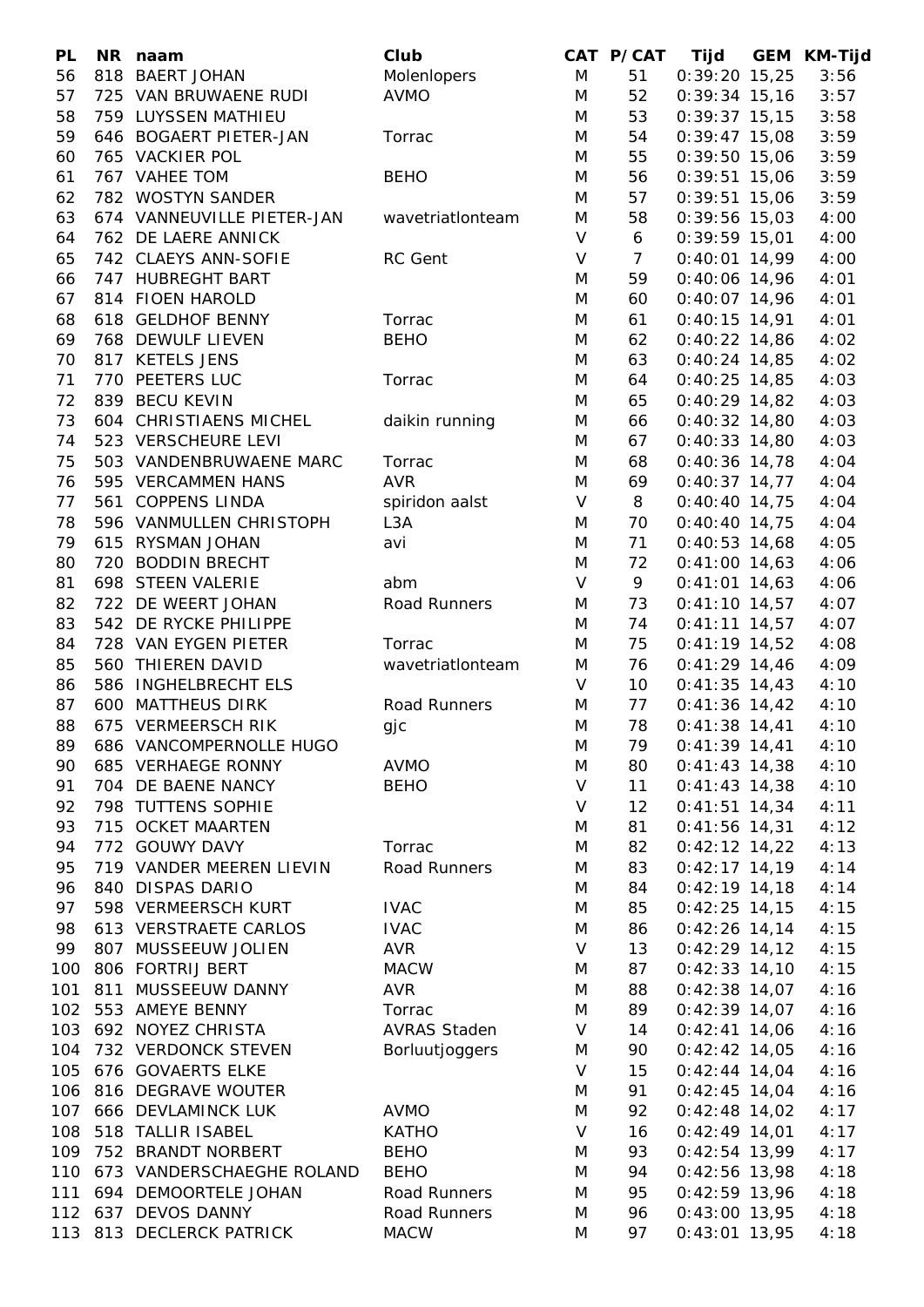| PL  | NR naam                    | Club                  |        | CAT P/CAT       | Tijd            | <b>GEM KM-Tijd</b> |
|-----|----------------------------|-----------------------|--------|-----------------|-----------------|--------------------|
| 56  | 818 BAERT JOHAN            | Molenlopers           | M      | 51              | $0:39:20$ 15,25 | 3:56               |
| 57  | 725 VAN BRUWAENE RUDI      | <b>AVMO</b>           | M      | 52              | $0:39:34$ 15,16 | 3:57               |
| 58  | 759 LUYSSEN MATHIEU        |                       | M      | 53              | $0:39:37$ 15,15 | 3:58               |
| 59  | 646 BOGAERT PIETER-JAN     | Torrac                | M      | 54              | $0:39:47$ 15,08 | 3:59               |
| 60  | 765 VACKIER POL            |                       | M      | 55              | $0:39:50$ 15,06 | 3:59               |
| 61  | 767 VAHEE TOM              | <b>BEHO</b>           | M      | 56              | $0:39:51$ 15,06 | 3:59               |
| 62  | 782 WOSTYN SANDER          |                       | M      | 57              | $0:39:51$ 15,06 | 3:59               |
| 63  | 674 VANNEUVILLE PIETER-JAN | wavetriationteam      | M      | 58              | $0:39:56$ 15,03 | 4:00               |
| 64  | 762 DE LAERE ANNICK        |                       | $\vee$ | 6               | $0:39:59$ 15,01 | 4:00               |
| 65  | 742 CLAEYS ANN-SOFIE       | RC Gent               | V      | $\overline{7}$  | $0:40:01$ 14,99 | 4:00               |
|     | 747 HUBREGHT BART          |                       |        | 59              |                 |                    |
| 66  |                            |                       | M      |                 | $0:40:06$ 14,96 | 4:01               |
| 67  | 814 FIOEN HAROLD           |                       | M      | 60              | $0:40:07$ 14,96 | 4:01               |
| 68  | 618 GELDHOF BENNY          | Torrac                | M      | 61              | $0:40:15$ 14,91 | 4:01               |
| 69  | 768 DEWULF LIEVEN          | <b>BEHO</b>           | M      | 62              | $0:40:22$ 14,86 | 4:02               |
| 70  | 817 KETELS JENS            |                       | M      | 63              | $0:40:24$ 14,85 | 4:02               |
| 71  | 770 PEETERS LUC            | Torrac                | M      | 64              | $0:40:25$ 14,85 | 4:03               |
| 72  | 839 BECU KEVIN             |                       | M      | 65              | $0:40:29$ 14,82 | 4:03               |
| 73  | 604 CHRISTIAENS MICHEL     | daikin running        | M      | 66              | $0:40:32$ 14,80 | 4:03               |
| 74  | 523 VERSCHEURE LEVI        |                       | M      | 67              | $0:40:33$ 14,80 | 4:03               |
| 75  | 503 VANDENBRUWAENE MARC    | Torrac                | M      | 68              | $0:40:36$ 14,78 | 4:04               |
| 76  | 595 VERCAMMEN HANS         | <b>AVR</b>            | M      | 69              | $0:40:37$ 14,77 | 4:04               |
| 77  | 561 COPPENS LINDA          | spiridon aalst        | $\vee$ | 8               | $0:40:40$ 14,75 | 4:04               |
| 78  | 596 VANMULLEN CHRISTOPH    | L <sub>3</sub> A      | M      | 70              | $0:40:40$ 14,75 | 4:04               |
| 79  | 615 RYSMAN JOHAN           | avi                   | M      | 71              | $0:40:53$ 14,68 | 4:05               |
| 80  | 720 BODDIN BRECHT          |                       | M      | 72              | $0:41:00$ 14,63 | 4:06               |
| 81  | 698 STEEN VALERIE          | abm                   | $\vee$ | 9               | $0:41:01$ 14,63 | 4:06               |
| 82  | 722 DE WEERT JOHAN         | Road Runners          | M      | 73              | $0:41:10$ 14,57 | 4:07               |
| 83  | 542 DE RYCKE PHILIPPE      |                       | M      | 74              | $0:41:11$ 14,57 | 4:07               |
| 84  | 728 VAN EYGEN PIETER       | Torrac                | M      | 75              | $0:41:19$ 14,52 | 4:08               |
| 85  | 560 THIEREN DAVID          | wavetriationteam      | M      | 76              | $0:41:29$ 14,46 | 4:09               |
| 86  | 586 INGHELBRECHT ELS       |                       | $\vee$ | 10 <sup>°</sup> | $0:41:35$ 14,43 | 4:10               |
| 87  | 600 MATTHEUS DIRK          | Road Runners          | M      | 77              | $0:41:36$ 14,42 | 4:10               |
| 88  | 675 VERMEERSCH RIK         | gjc                   | M      | 78              | $0:41:38$ 14,41 | 4:10               |
| 89  | 686 VANCOMPERNOLLE HUGO    |                       | M      | 79              | $0:41:39$ 14,41 | 4:10               |
| 90  | 685 VERHAEGE RONNY         | <b>AVMO</b>           | M      | 80              | $0:41:43$ 14,38 | 4:10               |
| 91  | 704 DE BAENE NANCY         | <b>BEHO</b>           | V      | 11              | $0:41:43$ 14,38 |                    |
|     |                            |                       |        |                 |                 | 4:10               |
| 92  | 798 TUTTENS SOPHIE         |                       | V      | 12              | $0:41:51$ 14,34 | 4:11               |
| 93  | 715 OCKET MAARTEN          |                       | M      | 81              | $0:41:56$ 14,31 | 4:12               |
| 94  | 772 GOUWY DAVY             | Torrac                | M      | 82              | $0:42:12$ 14,22 | 4:13               |
| 95  | 719 VANDER MEEREN LIEVIN   | Road Runners          | M      | 83              | $0:42:17$ 14,19 | 4:14               |
| 96  | 840 DISPAS DARIO           |                       | M      | 84              | $0:42:19$ 14,18 | 4:14               |
| 97  | 598 VERMEERSCH KURT        | <b>IVAC</b>           | M      | 85              | $0:42:25$ 14,15 | 4:15               |
| 98  | 613 VERSTRAETE CARLOS      | <b>IVAC</b>           | M      | 86              | $0:42:26$ 14,14 | 4:15               |
| 99  | 807 MUSSEEUW JOLIEN        | AVR                   | V      | 13              | $0:42:29$ 14,12 | 4:15               |
| 100 | 806 FORTRIJ BERT           | <b>MACW</b>           | M      | 87              | $0:42:33$ 14,10 | 4:15               |
| 101 | 811 MUSSEEUW DANNY         | <b>AVR</b>            | M      | 88              | $0:42:38$ 14,07 | 4:16               |
| 102 | 553 AMEYE BENNY            | Torrac                | M      | 89              | $0:42:39$ 14,07 | 4:16               |
| 103 | 692 NOYEZ CHRISTA          | <b>AVRAS Staden</b>   | V      | 14              | $0:42:41$ 14,06 | 4:16               |
| 104 | 732 VERDONCK STEVEN        | <b>Borluutjoggers</b> | M      | 90              | $0:42:42$ 14,05 | 4:16               |
| 105 | 676 GOVAERTS ELKE          |                       | V      | 15              | $0:42:44$ 14,04 | 4:16               |
| 106 | 816 DEGRAVE WOUTER         |                       | M      | 91              | $0:42:45$ 14,04 | 4:16               |
| 107 | 666 DEVLAMINCK LUK         | <b>AVMO</b>           | M      | 92              | $0:42:48$ 14,02 | 4:17               |
| 108 | 518 TALLIR ISABEL          | <b>KATHO</b>          | V      | 16              | $0:42:49$ 14,01 | 4:17               |
| 109 | 752 BRANDT NORBERT         | <b>BEHO</b>           | M      | 93              | $0:42:54$ 13,99 | 4:17               |
| 110 | 673 VANDERSCHAEGHE ROLAND  | <b>BEHO</b>           | M      | 94              | $0:42:56$ 13,98 | 4:18               |
| 111 | 694 DEMOORTELE JOHAN       | Road Runners          | M      | 95              | $0:42:59$ 13,96 | 4:18               |
| 112 | 637 DEVOS DANNY            | Road Runners          | M      | 96              | $0:43:00$ 13,95 | 4:18               |
|     | 113 813 DECLERCK PATRICK   | <b>MACW</b>           | M      | 97              | $0:43:01$ 13,95 | 4:18               |
|     |                            |                       |        |                 |                 |                    |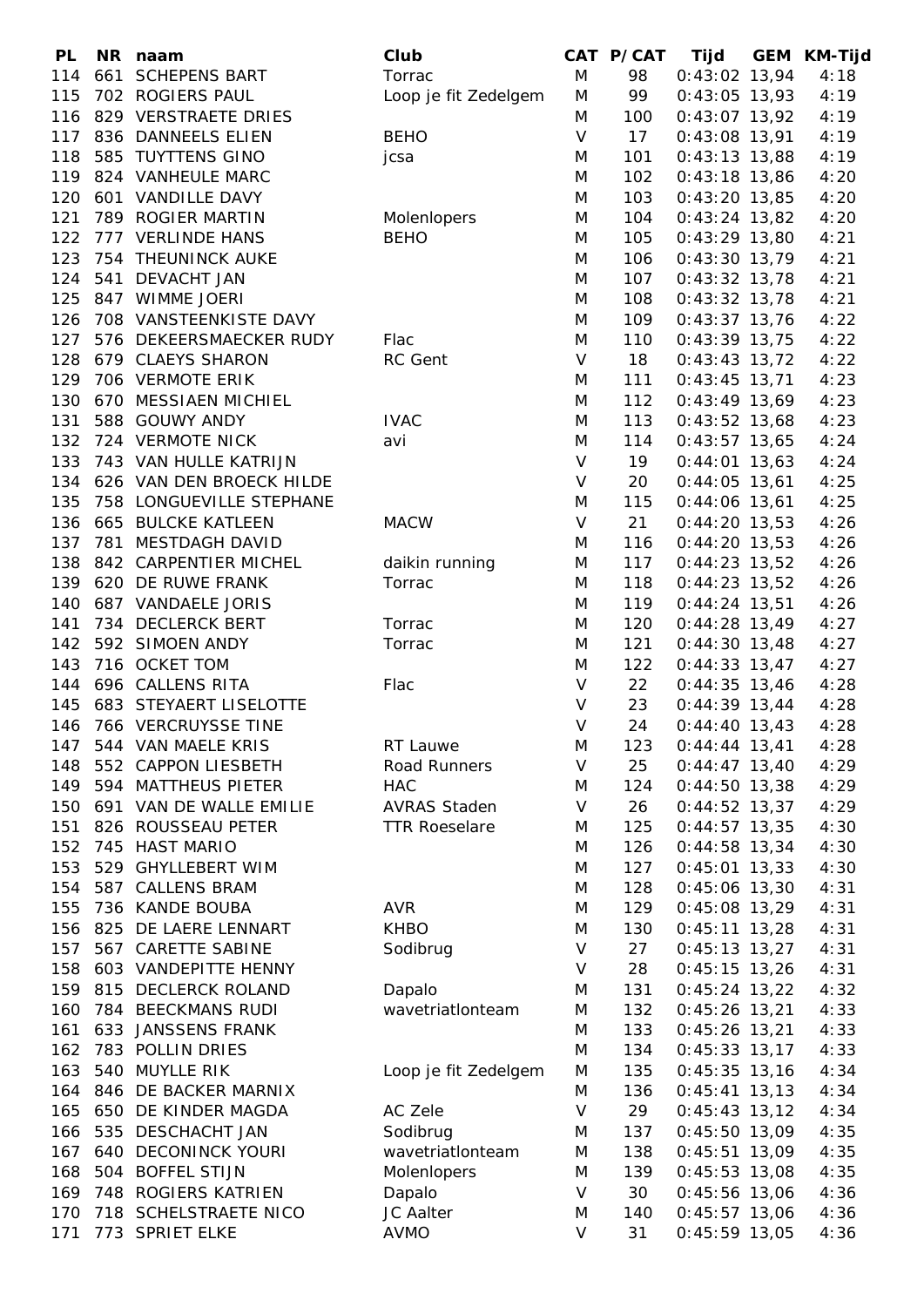| <b>PL</b> |     | NR naam                      | Club                 |        | CAT P/CAT | Tijd            | GEM KM-Tijd |
|-----------|-----|------------------------------|----------------------|--------|-----------|-----------------|-------------|
| 114       |     | 661 SCHEPENS BART            | Torrac               | M      | 98        | $0:43:02$ 13,94 | 4:18        |
| 115       |     | 702 ROGIERS PAUL             | Loop je fit Zedelgem | M      | 99        | $0:43:05$ 13,93 | 4:19        |
| 116       |     | 829 VERSTRAETE DRIES         |                      | M      | 100       | $0:43:07$ 13,92 | 4:19        |
| 117       |     | 836 DANNEELS ELIEN           | <b>BEHO</b>          | $\vee$ | 17        | $0:43:08$ 13,91 | 4:19        |
| 118       |     | 585 TUYTTENS GINO            | jcsa                 | M      | 101       | $0:43:13$ 13,88 | 4:19        |
|           |     | 119 824 VANHEULE MARC        |                      | M      | 102       | $0:43:18$ 13,86 | 4:20        |
| 120       |     | 601 VANDILLE DAVY            |                      | M      | 103       | $0:43:20$ 13,85 | 4:20        |
| 121       |     | 789 ROGIER MARTIN            | Molenlopers          | M      | 104       | $0:43:24$ 13,82 | 4:20        |
| 122       |     | 777 VERLINDE HANS            | <b>BEHO</b>          | M      | 105       | $0:43:29$ 13,80 | 4:21        |
| 123       |     | 754 THEUNINCK AUKE           |                      | M      | 106       | $0:43:30$ 13,79 | 4:21        |
|           |     |                              |                      |        |           |                 |             |
| 124       |     | 541 DEVACHT JAN              |                      | M      | 107       | $0:43:32$ 13,78 | 4:21        |
| 125       |     | 847 WIMME JOERI              |                      | M      | 108       | $0:43:32$ 13,78 | 4:21        |
| 126       |     | 708 VANSTEENKISTE DAVY       |                      | M      | 109       | $0:43:37$ 13,76 | 4:22        |
| 127       |     | 576 DEKEERSMAECKER RUDY      | Flac                 | M      | 110       | $0:43:39$ 13,75 | 4:22        |
| 128       |     | 679 CLAEYS SHARON            | RC Gent              | V      | 18        | $0:43:43$ 13,72 | 4:22        |
| 129       |     | 706 VERMOTE ERIK             |                      | M      | 111       | $0:43:45$ 13,71 | 4:23        |
| 130       |     | 670 MESSIAEN MICHIEL         |                      | M      | 112       | $0:43:49$ 13,69 | 4:23        |
| 131       |     | 588 GOUWY ANDY               | <b>IVAC</b>          | M      | 113       | $0:43:52$ 13,68 | 4:23        |
| 132       |     | 724 VERMOTE NICK             | avi                  | M      | 114       | $0:43:57$ 13,65 | 4:24        |
| 133       |     | 743 VAN HULLE KATRIJN        |                      | $\vee$ | 19        | $0:44:01$ 13,63 | 4:24        |
|           |     | 134 626 VAN DEN BROECK HILDE |                      | V      | 20        | $0:44:05$ 13,61 | 4:25        |
| 135       |     | 758 LONGUEVILLE STEPHANE     |                      | M      | 115       | $0:44:06$ 13,61 | 4:25        |
| 136       |     | 665 BULCKE KATLEEN           | <b>MACW</b>          | V      | 21        | $0:44:20$ 13,53 | 4:26        |
| 137       |     | 781 MESTDAGH DAVID           |                      | M      | 116       | $0:44:20$ 13,53 | 4:26        |
| 138       |     | 842 CARPENTIER MICHEL        | daikin running       | M      | 117       | $0:44:23$ 13,52 | 4:26        |
| 139       |     | 620 DE RUWE FRANK            | Torrac               | M      | 118       | $0:44:23$ 13,52 | 4:26        |
| 140       |     | 687 VANDAELE JORIS           |                      | M      | 119       | $0:44:24$ 13,51 | 4:26        |
| 141       |     | 734 DECLERCK BERT            | Torrac               | M      | 120       | $0:44:28$ 13,49 | 4:27        |
| 142       |     | 592 SIMOEN ANDY              | Torrac               | M      | 121       | $0:44:30$ 13,48 | 4:27        |
| 143       |     | 716 OCKET TOM                |                      | M      | 122       | $0:44:33$ 13,47 | 4:27        |
| 144       |     | 696 CALLENS RITA             | Flac                 | V      | 22        | $0:44:35$ 13,46 | 4:28        |
| 145       |     | 683 STEYAERT LISELOTTE       |                      | $\vee$ | 23        | $0:44:39$ 13,44 | 4:28        |
|           |     | 146 766 VERCRUYSSE TINE      |                      | V      | 24        | $0:44:40$ 13,43 | 4:28        |
|           |     |                              |                      |        |           |                 |             |
|           |     | 147 544 VAN MAELE KRIS       | RT Lauwe             | M      | 123       | $0:44:44$ 13,41 | 4:28        |
| 148       |     | 552 CAPPON LIESBETH          | Road Runners         | V      | 25        | $0:44:47$ 13,40 | 4:29        |
| 149       |     | 594 MATTHEUS PIETER          | <b>HAC</b>           | M      | 124       | $0:44:50$ 13,38 | 4:29        |
| 150       |     | 691 VAN DE WALLE EMILIE      | <b>AVRAS Staden</b>  | V      | 26        | $0:44:52$ 13,37 | 4:29        |
| 151       |     | 826 ROUSSEAU PETER           | <b>TTR Roeselare</b> | M      | 125       | $0:44:57$ 13,35 | 4:30        |
| 152       |     | 745 HAST MARIO               |                      | M      | 126       | $0:44:58$ 13,34 | 4:30        |
| 153       |     | 529 GHYLLEBERT WIM           |                      | M      | 127       | $0:45:01$ 13,33 | 4:30        |
| 154       |     | 587 CALLENS BRAM             |                      | M      | 128       | $0:45:06$ 13,30 | 4:31        |
| 155       |     | 736 KANDE BOUBA              | <b>AVR</b>           | M      | 129       | $0:45:08$ 13,29 | 4:31        |
| 156       |     | 825 DE LAERE LENNART         | <b>KHBO</b>          | M      | 130       | $0:45:11$ 13,28 | 4:31        |
| 157       |     | 567 CARETTE SABINE           | Sodibrug             | V      | 27        | $0:45:13$ 13,27 | 4:31        |
| 158       |     | 603 VANDEPITTE HENNY         |                      | V      | 28        | $0:45:15$ 13,26 | 4:31        |
| 159       | 815 | <b>DECLERCK ROLAND</b>       | Dapalo               | M      | 131       | $0:45:24$ 13,22 | 4:32        |
| 160       |     | 784 BEECKMANS RUDI           | wavetriationteam     | M      | 132       | $0:45:26$ 13,21 | 4:33        |
| 161       | 633 | <b>JANSSENS FRANK</b>        |                      | M      | 133       | $0:45:26$ 13,21 | 4:33        |
| 162       |     | 783 POLLIN DRIES             |                      | M      | 134       | $0:45:33$ 13,17 | 4:33        |
| 163       |     | 540 MUYLLE RIK               | Loop je fit Zedelgem | M      | 135       | $0:45:35$ 13,16 | 4:34        |
| 164       |     | 846 DE BACKER MARNIX         |                      | M      | 136       | $0:45:41$ 13,13 | 4:34        |
| 165       |     | 650 DE KINDER MAGDA          | AC Zele              | V      | 29        | $0:45:43$ 13,12 | 4:34        |
| 166       | 535 | <b>DESCHACHT JAN</b>         | Sodibrug             | M      | 137       | $0:45:50$ 13,09 | 4:35        |
| 167       |     | 640 DECONINCK YOURI          | wavetriationteam     | M      | 138       | $0:45:51$ 13,09 | 4:35        |
| 168       |     | 504 BOFFEL STIJN             | Molenlopers          | M      | 139       | $0:45:53$ 13,08 | 4:35        |
| 169       |     | 748 ROGIERS KATRIEN          |                      | V      | 30        |                 | 4:36        |
|           |     |                              | Dapalo               |        |           | $0:45:56$ 13,06 |             |
| 170       |     | 718 SCHELSTRAETE NICO        | JC Aalter            | M      | 140       | $0:45:57$ 13,06 | 4:36        |
| 171       |     | 773 SPRIET ELKE              | <b>AVMO</b>          | V      | 31        | $0:45:59$ 13,05 | 4:36        |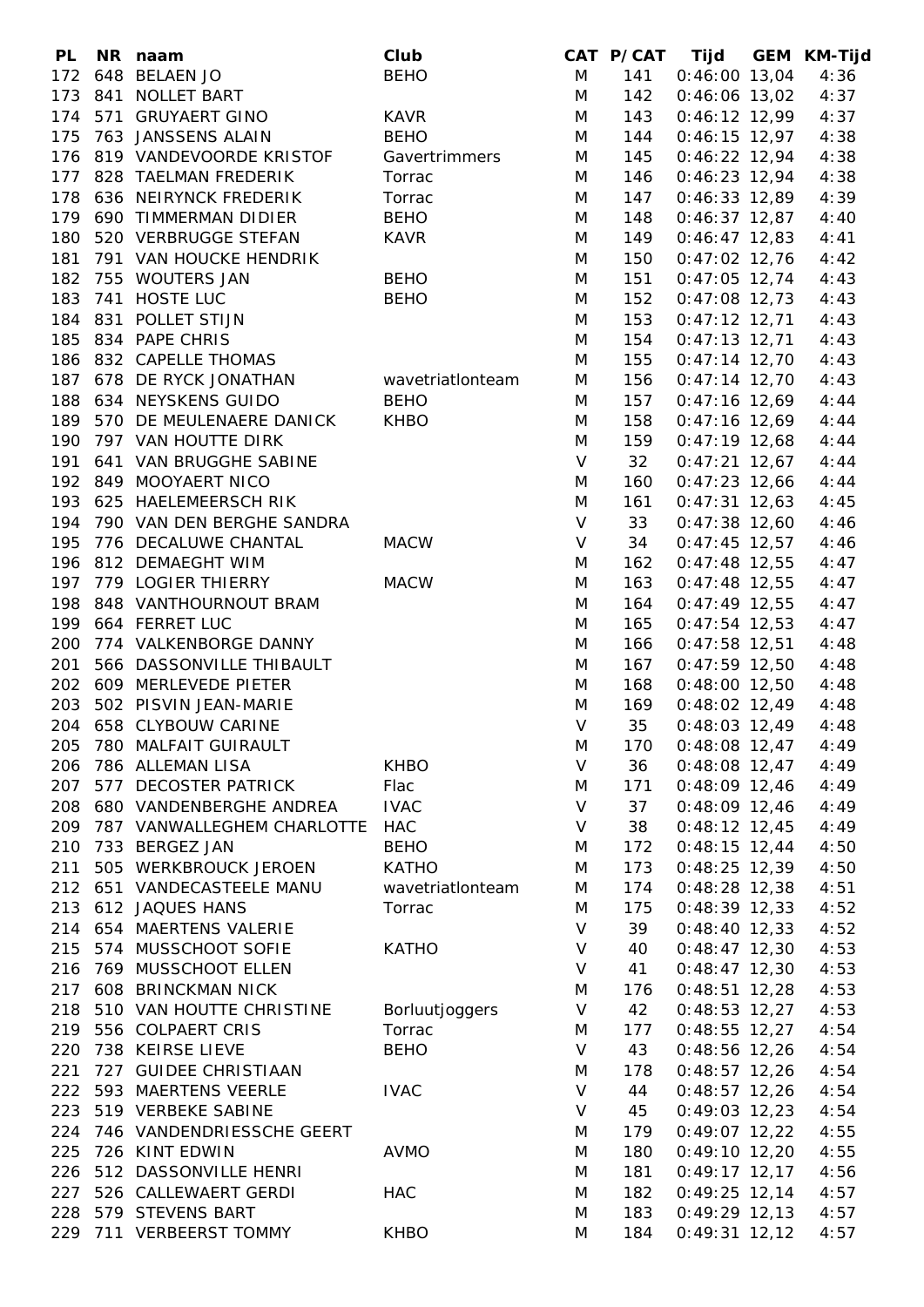| <b>PL</b> | NR naam                                   | Club             |              |     | CAT P/CAT Tijd GEM KM-Tijd |      |
|-----------|-------------------------------------------|------------------|--------------|-----|----------------------------|------|
|           | 172 648 BELAEN JO                         | <b>BEHO</b>      | M            | 141 | $0:46:00$ 13,04            | 4:36 |
| 173       | 841 NOLLET BART                           |                  | M            | 142 | $0:46:06$ 13,02            | 4:37 |
|           | 174 571 GRUYAERT GINO                     | <b>KAVR</b>      | M            | 143 | $0:46:12$ 12,99            | 4:37 |
| 175       | 763 JANSSENS ALAIN                        | <b>BEHO</b>      | M            | 144 | $0:46:15$ 12,97            | 4:38 |
|           | 176 819 VANDEVOORDE KRISTOF               | Gavertrimmers    | M            | 145 | $0:46:22$ 12,94            | 4:38 |
|           | 177 828 TAELMAN FREDERIK                  | Torrac           | M            | 146 | $0:46:23$ 12,94            | 4:38 |
| 178       | 636 NEIRYNCK FREDERIK                     | Torrac           | M            | 147 | $0:46:33$ 12,89            | 4:39 |
| 179       | 690 TIMMERMAN DIDIER                      | <b>BEHO</b>      | M            | 148 | $0:46:37$ 12,87            | 4:40 |
| 180       | 520 VERBRUGGE STEFAN                      | <b>KAVR</b>      | M            | 149 | $0:46:47$ 12,83            | 4:41 |
| 181       | 791 VAN HOUCKE HENDRIK                    |                  | M            | 150 | $0:47:02$ 12,76            | 4:42 |
|           |                                           |                  |              |     |                            |      |
|           | 182 755 WOUTERS JAN                       | <b>BEHO</b>      | M            | 151 | $0:47:05$ 12,74            | 4:43 |
| 183       | 741 HOSTE LUC                             | <b>BEHO</b>      | M            | 152 | $0:47:08$ 12,73            | 4:43 |
| 184       | 831 POLLET STIJN                          |                  | M            | 153 | $0:47:12$ 12,71            | 4:43 |
| 185       | 834 PAPE CHRIS                            |                  | M            | 154 | $0:47:13$ 12,71            | 4:43 |
|           | 186 832 CAPELLE THOMAS                    |                  | M            | 155 | $0:47:14$ 12,70            | 4:43 |
|           | 187 678 DE RYCK JONATHAN wavetriationteam |                  | M            | 156 | $0:47:14$ 12,70            | 4:43 |
|           | 188 634 NEYSKENS GUIDO                    | <b>BEHO</b>      | M            | 157 | $0:47:16$ 12,69            | 4:44 |
|           | 189 570 DE MEULENAERE DANICK              | <b>KHBO</b>      | M            | 158 | $0:47:16$ 12,69            | 4:44 |
| 190       | 797 VAN HOUTTE DIRK                       |                  | M            | 159 | $0:47:19$ 12,68            | 4:44 |
| 191       | 641 VAN BRUGGHE SABINE                    |                  | V            | 32  | $0:47:21$ 12,67            | 4:44 |
|           | 192 849 MOOYAERT NICO                     |                  | M            | 160 | $0:47:23$ 12,66            | 4:44 |
|           | 193 625 HAELEMEERSCH RIK                  |                  | M            | 161 | $0:47:31$ 12,63            | 4:45 |
|           | 194 790 VAN DEN BERGHE SANDRA             |                  | V            | 33  | $0:47:38$ 12,60            | 4:46 |
| 195       | 776 DECALUWE CHANTAL                      | <b>MACW</b>      | $\mathsf{V}$ | 34  | $0:47:45$ 12,57            | 4:46 |
|           | 196 812 DEMAEGHT WIM                      |                  | M            | 162 | $0:47:48$ 12,55            | 4:47 |
|           | 197 779 LOGIER THIERRY                    | <b>MACW</b>      | M            | 163 | $0:47:48$ 12,55            | 4:47 |
| 198       | 848 VANTHOURNOUT BRAM                     |                  | M            | 164 | $0:47:49$ 12,55            | 4:47 |
|           | 199 664 FERRET LUC                        |                  | M            | 165 | $0:47:54$ 12,53            | 4:47 |
| 200       | 774 VALKENBORGE DANNY                     |                  | M            | 166 | $0:47:58$ 12,51            | 4:48 |
| 201       | 566 DASSONVILLE THIBAULT                  |                  | M            | 167 | $0:47:59$ 12,50            | 4:48 |
|           | 202 609 MERLEVEDE PIETER                  |                  | M            | 168 | $0:48:00$ 12,50            | 4:48 |
|           | 203 502 PISVIN JEAN-MARIE                 |                  | M            | 169 | $0:48:02$ 12,49            | 4:48 |
|           | 204 658 CLYBOUW CARINE                    |                  | $\vee$       | 35  | $0:48:03$ 12,49            |      |
|           |                                           |                  |              |     |                            | 4:48 |
|           | 205 780 MALFAIT GUIRAULT                  |                  | M            |     | 170  0:48:08  12,47        | 4:49 |
| 206       | 786 ALLEMAN LISA                          | <b>KHBO</b>      | V            | 36  | $0:48:08$ 12,47            | 4:49 |
| 207       | 577 DECOSTER PATRICK                      | Flac             | M            | 171 | $0:48:09$ 12,46            | 4:49 |
| 208       | 680 VANDENBERGHE ANDREA                   | <b>IVAC</b>      | $\vee$       | 37  | $0:48:09$ 12,46            | 4:49 |
| 209       | 787 VANWALLEGHEM CHARLOTTE                | HAC              | V            | 38  | $0:48:12$ 12,45            | 4:49 |
| 210       | 733 BERGEZ JAN                            | <b>BEHO</b>      | M            | 172 | $0:48:15$ 12,44            | 4:50 |
| 211       | 505 WERKBROUCK JEROEN                     | <b>KATHO</b>     | M            | 173 | $0:48:25$ 12,39            | 4:50 |
|           | 212 651 VANDECASTEELE MANU                | wavetriationteam | M            | 174 | $0:48:28$ 12,38            | 4:51 |
| 213       | 612 JAQUES HANS                           | Torrac           | M            | 175 | $0:48:39$ 12,33            | 4:52 |
|           | 214 654 MAERTENS VALERIE                  |                  | $\vee$       | 39  | $0:48:40$ 12,33            | 4:52 |
|           | 215 574 MUSSCHOOT SOFIE                   | <b>KATHO</b>     | $\vee$       | 40  | $0:48:47$ 12,30            | 4:53 |
| 216       | 769 MUSSCHOOT ELLEN                       |                  | V            | 41  | $0:48:47$ 12,30            | 4:53 |
| 217       | 608 BRINCKMAN NICK                        |                  | M            | 176 | $0:48:51$ 12,28            | 4:53 |
| 218       | 510 VAN HOUTTE CHRISTINE                  | Borluutjoggers   | V            | 42  | $0:48:53$ 12,27            | 4:53 |
|           | 219 556 COLPAERT CRIS                     | Torrac           | M            | 177 | $0:48:55$ 12,27            | 4:54 |
| 220       | 738 KEIRSE LIEVE                          | <b>BEHO</b>      | $\vee$       | 43  | $0:48:56$ 12,26            | 4:54 |
| 221       | 727 GUIDEE CHRISTIAAN                     |                  | M            | 178 | $0:48:57$ 12,26            | 4:54 |
| 222       | 593 MAERTENS VEERLE                       | <b>IVAC</b>      | V            | 44  | $0:48:57$ 12,26            | 4:54 |
| 223       | 519 VERBEKE SABINE                        |                  | V            | 45  | $0:49:03$ 12,23            | 4:54 |
| 224       | 746 VANDENDRIESSCHE GEERT                 |                  | M            | 179 | $0:49:07$ 12,22            | 4:55 |
| 225       | 726 KINT EDWIN                            | <b>AVMO</b>      | M            | 180 | $0:49:10$ 12,20            | 4:55 |
| 226       | 512 DASSONVILLE HENRI                     |                  | M            | 181 | $0:49:17$ 12,17            | 4:56 |
| 227       | 526 CALLEWAERT GERDI                      | <b>HAC</b>       | M            | 182 | $0:49:25$ 12,14            | 4:57 |
|           |                                           |                  |              |     |                            |      |
| 228       | 579 STEVENS BART                          |                  | M            | 183 | $0:49:29$ 12,13            | 4:57 |
| 229       | 711 VERBEERST TOMMY                       | <b>KHBO</b>      | M            | 184 | $0:49:31$ 12,12            | 4:57 |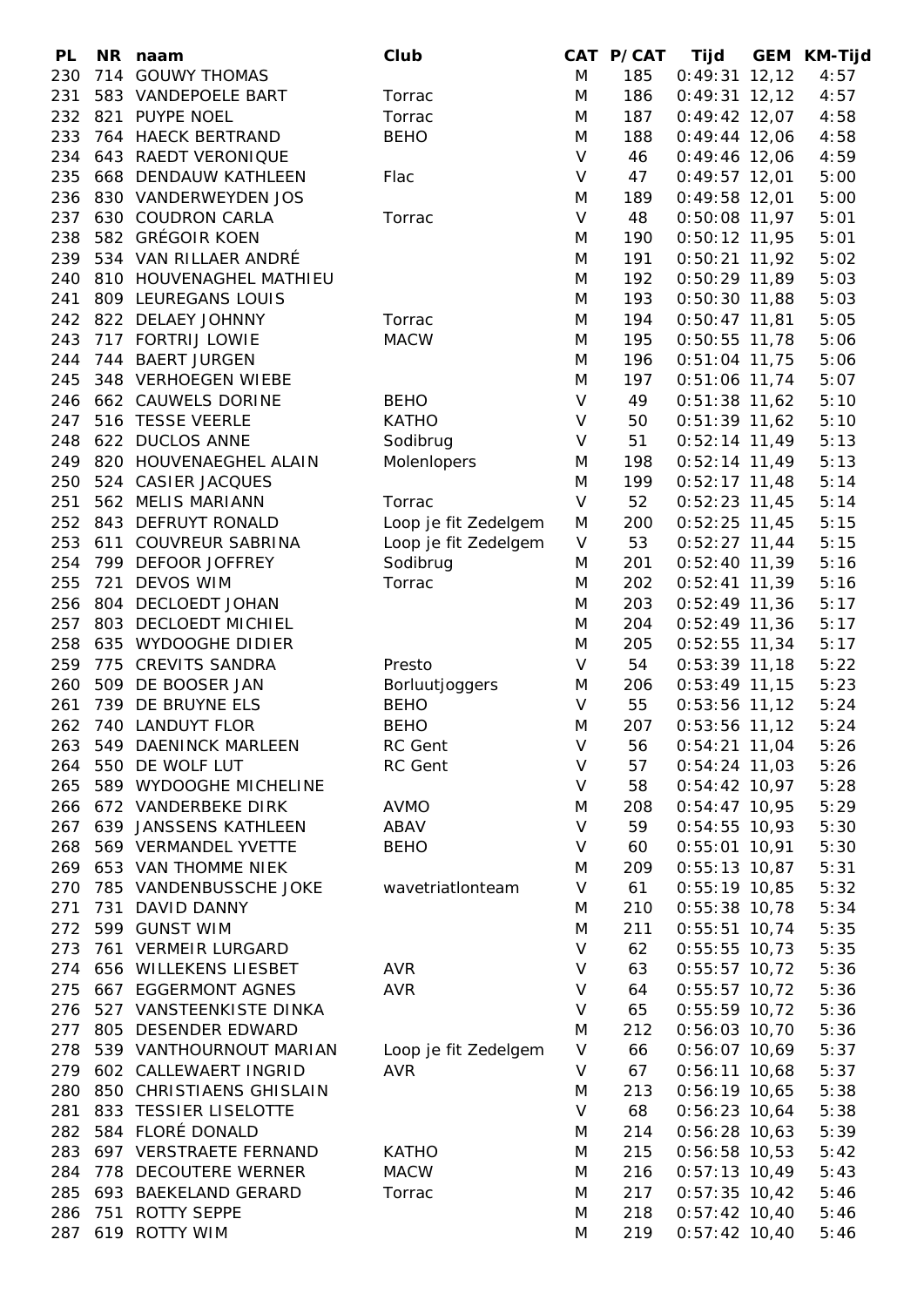| PL  |     | NR naam                   | Club                 |         | CAT P/CAT | Tijd            | <b>GEM KM-Tijd</b> |
|-----|-----|---------------------------|----------------------|---------|-----------|-----------------|--------------------|
| 230 |     | 714 GOUWY THOMAS          |                      | M       | 185       | $0:49:31$ 12,12 | 4:57               |
| 231 |     | 583 VANDEPOELE BART       | Torrac               | M       | 186       | $0:49:31$ 12,12 | 4:57               |
| 232 |     | 821 PUYPE NOEL            | Torrac               | M       | 187       | $0:49:42$ 12,07 | 4:58               |
| 233 |     | 764 HAECK BERTRAND        | <b>BEHO</b>          | M       | 188       | $0:49:44$ 12,06 | 4:58               |
| 234 |     | 643 RAEDT VERONIQUE       |                      | $\vee$  | 46        | $0:49:46$ 12,06 | 4:59               |
| 235 |     | 668 DENDAUW KATHLEEN      | Flac                 | $\sf V$ | 47        | $0:49:57$ 12,01 | 5:00               |
| 236 |     | 830 VANDERWEYDEN JOS      |                      | M       | 189       | $0:49:58$ 12,01 | 5:00               |
| 237 |     | 630 COUDRON CARLA         | Torrac               | $\vee$  | 48        | $0:50:08$ 11,97 | 5:01               |
| 238 |     | 582 GRÉGOIR KOEN          |                      | M       | 190       | $0:50:12$ 11,95 | 5:01               |
| 239 |     | 534 VAN RILLAER ANDRÉ     |                      | M       | 191       | $0:50:21$ 11,92 | 5:02               |
| 240 |     | 810 HOUVENAGHEL MATHIEU   |                      |         | 192       |                 |                    |
|     |     |                           |                      | M       |           | $0:50:29$ 11,89 | 5:03               |
| 241 |     | 809 LEUREGANS LOUIS       |                      | M       | 193       | $0:50:30$ 11,88 | 5:03               |
| 242 |     | 822 DELAEY JOHNNY         | Torrac               | M       | 194       | $0:50:47$ 11,81 | 5:05               |
| 243 |     | 717 FORTRIJ LOWIE         | <b>MACW</b>          | M       | 195       | $0:50:55$ 11,78 | 5:06               |
| 244 |     | 744 BAERT JURGEN          |                      | M       | 196       | $0:51:04$ 11,75 | 5:06               |
| 245 |     | 348 VERHOEGEN WIEBE       |                      | M       | 197       | $0:51:06$ 11,74 | 5:07               |
| 246 |     | 662 CAUWELS DORINE        | <b>BEHO</b>          | $\vee$  | 49        | $0:51:38$ 11,62 | 5:10               |
| 247 |     | 516 TESSE VEERLE          | <b>KATHO</b>         | V       | 50        | $0:51:39$ 11,62 | 5:10               |
| 248 |     | 622 DUCLOS ANNE           | Sodibrug             | $\vee$  | 51        | $0:52:14$ 11,49 | 5:13               |
| 249 |     | 820 HOUVENAEGHEL ALAIN    | Molenlopers          | M       | 198       | $0:52:14$ 11,49 | 5:13               |
| 250 |     | 524 CASIER JACQUES        |                      | M       | 199       | $0:52:17$ 11,48 | 5:14               |
| 251 |     | 562 MELIS MARIANN         | Torrac               | $\vee$  | 52        | $0:52:23$ 11,45 | 5:14               |
| 252 |     | 843 DEFRUYT RONALD        | Loop je fit Zedelgem | M       | 200       | $0:52:25$ 11,45 | 5:15               |
| 253 |     | 611 COUVREUR SABRINA      | Loop je fit Zedelgem | V       | 53        | $0:52:27$ 11,44 | 5:15               |
| 254 |     | 799 DEFOOR JOFFREY        | Sodibrug             | M       | 201       | $0:52:40$ 11,39 | 5:16               |
| 255 | 721 | <b>DEVOS WIM</b>          | Torrac               | M       | 202       | $0:52:41$ 11,39 | 5:16               |
| 256 |     | 804 DECLOEDT JOHAN        |                      | M       | 203       | $0:52:49$ 11,36 | 5:17               |
| 257 |     | 803 DECLOEDT MICHIEL      |                      | M       | 204       | $0:52:49$ 11,36 | 5:17               |
| 258 |     | 635 WYDOOGHE DIDIER       |                      | M       | 205       | $0:52:55$ 11,34 | 5:17               |
| 259 | 775 | <b>CREVITS SANDRA</b>     | Presto               | $\vee$  | 54        | $0:53:39$ 11,18 | 5:22               |
| 260 |     | 509 DE BOOSER JAN         | Borluutjoggers       | M       | 206       | $0:53:49$ 11,15 | 5:23               |
| 261 |     | 739 DE BRUYNE ELS         | <b>BEHO</b>          | $\vee$  | 55        | $0:53:56$ 11,12 | 5:24               |
| 262 |     | 740 LANDUYT FLOR          | <b>BEHO</b>          | M       | 207       | $0:53:56$ 11,12 | 5:24               |
|     |     | 263 549 DAENINCK MARLEEN  | RC Gent              | V       | 56        | $0:54:21$ 11,04 | 5:26               |
|     |     | 264 550 DE WOLF LUT       | RC Gent              | $\vee$  | 57        | $0:54:24$ 11,03 | 5:26               |
| 265 |     | 589 WYDOOGHE MICHELINE    |                      | $\vee$  | 58        | $0:54:42$ 10,97 | 5:28               |
| 266 |     | 672 VANDERBEKE DIRK       | <b>AVMO</b>          | M       | 208       | $0:54:47$ 10,95 | 5:29               |
|     |     | 267 639 JANSSENS KATHLEEN | ABAV                 | $\vee$  | 59        | $0:54:55$ 10,93 | 5:30               |
|     |     |                           |                      | V       |           | $0:55:01$ 10,91 |                    |
| 268 |     | 569 VERMANDEL YVETTE      | <b>BEHO</b>          |         | 60        |                 | 5:30               |
| 269 |     | 653 VAN THOMME NIEK       |                      | M       | 209       | $0:55:13$ 10,87 | 5:31               |
| 270 |     | 785 VANDENBUSSCHE JOKE    | wavetriationteam     | $\vee$  | 61        | $0:55:19$ 10,85 | 5:32               |
| 271 |     | 731 DAVID DANNY           |                      | M       | 210       | $0:55:38$ 10,78 | 5:34               |
| 272 |     | 599 GUNST WIM             |                      | M       | 211       | $0:55:51$ 10,74 | 5:35               |
| 273 |     | 761 VERMEIR LURGARD       |                      | $\vee$  | 62        | $0:55:55$ 10,73 | 5:35               |
| 274 |     | 656 WILLEKENS LIESBET     | <b>AVR</b>           | V       | 63        | $0:55:57$ 10,72 | 5:36               |
| 275 |     | 667 EGGERMONT AGNES       | <b>AVR</b>           | $\sf V$ | 64        | $0:55:57$ 10,72 | 5:36               |
| 276 |     | 527 VANSTEENKISTE DINKA   |                      | $\vee$  | 65        | $0:55:59$ 10,72 | 5:36               |
| 277 |     | 805 DESENDER EDWARD       |                      | M       | 212       | $0:56:03$ 10,70 | 5:36               |
| 278 |     | 539 VANTHOURNOUT MARIAN   | Loop je fit Zedelgem | $\vee$  | 66        | $0:56:07$ 10,69 | 5:37               |
|     |     | 279 602 CALLEWAERT INGRID | <b>AVR</b>           | V       | 67        | $0:56:11$ 10,68 | 5:37               |
| 280 |     | 850 CHRISTIAENS GHISLAIN  |                      | M       | 213       | $0:56:19$ 10,65 | 5:38               |
| 281 |     | 833 TESSIER LISELOTTE     |                      | $\vee$  | 68        | $0:56:23$ 10,64 | 5:38               |
| 282 |     | 584 FLORÉ DONALD          |                      | M       | 214       | $0:56:28$ 10,63 | 5:39               |
| 283 |     | 697 VERSTRAETE FERNAND    | <b>KATHO</b>         | M       | 215       | $0:56:58$ 10,53 | 5:42               |
| 284 |     | 778 DECOUTERE WERNER      | <b>MACW</b>          | M       | 216       | $0:57:13$ 10,49 | 5:43               |
| 285 |     | 693 BAEKELAND GERARD      | Torrac               | M       | 217       | $0:57:35$ 10,42 | 5:46               |
| 286 |     | 751 ROTTY SEPPE           |                      | M       | 218       | $0:57:42$ 10,40 | 5:46               |
| 287 |     | 619 ROTTY WIM             |                      | M       | 219       | $0:57:42$ 10,40 | 5:46               |